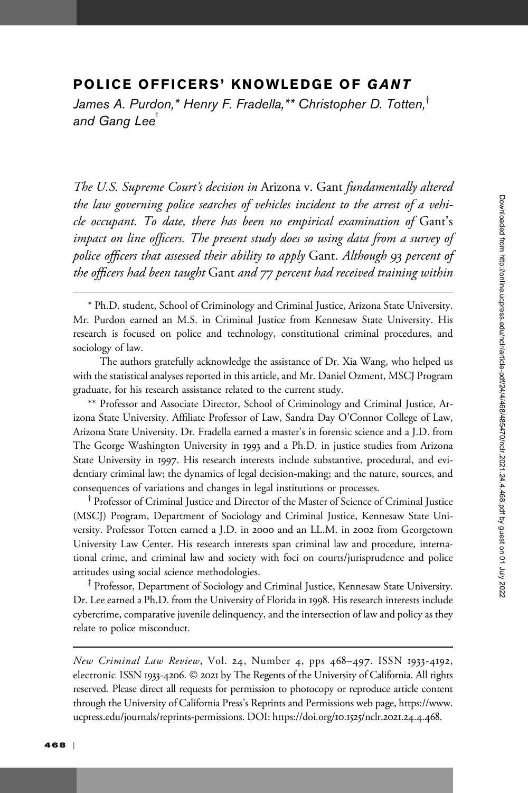# POLICE OFFICERS' KNOWLEDGE OF GANT

James A. Purdon,\* Henry F. Fradella,\*\* Christopher D. Totten, $^{\dagger}$ and Gang Lee $^*$ 

The U.S. Supreme Court's decision in Arizona v. Gant fundamentally altered the law governing police searches of vehicles incident to the arrest of a vehicle occupant. To date, there has been no empirical examination of Gant's impact on line officers. The present study does so using data from a survey of police officers that assessed their ability to apply Gant. Although 93 percent of the officers had been taught Gant and 77 percent had received training within

The authors gratefully acknowledge the assistance of Dr. Xia Wang, who helped us with the statistical analyses reported in this article, and Mr. Daniel Ozment, MSCJ Program graduate, for his research assistance related to the current study.

\*\* Professor and Associate Director, School of Criminology and Criminal Justice, Arizona State University. Affiliate Professor of Law, Sandra Day O'Connor College of Law, Arizona State University. Dr. Fradella earned a master's in forensic science and a J.D. from The George Washington University in 1993 and a Ph.D. in justice studies from Arizona State University in 1997. His research interests include substantive, procedural, and evidentiary criminal law; the dynamics of legal decision-making; and the nature, sources, and consequences of variations and changes in legal institutions or processes.

 $\dagger$  Professor of Criminal Justice and Director of the Master of Science of Criminal Justice (MSCJ) Program, Department of Sociology and Criminal Justice, Kennesaw State University. Professor Totten earned a J.D. in 2000 and an LL.M. in 2002 from Georgetown University Law Center. His research interests span criminal law and procedure, international crime, and criminal law and society with foci on courts/jurisprudence and police attitudes using social science methodologies.

<sup>‡</sup> Professor, Department of Sociology and Criminal Justice, Kennesaw State University. Dr. Lee earned a Ph.D. from the University of Florida in 1998. His research interests include cybercrime, comparative juvenile delinquency, and the intersection of law and policy as they relate to police misconduct.

New Criminal Law Review, Vol. 24, Number 4, pps 468–497. ISSN 1933-4192, electronic ISSN 1933-4206. © 2021 by The Regents of the University of California. All rights reserved. Please direct all requests for permission to photocopy or reproduce article content through the University of California Press's Reprints and Permissions web page, [https://www.](https://www.ucpress.edu/journals/reprints-permissions) [ucpress.edu/journals/reprints-permissions](https://www.ucpress.edu/journals/reprints-permissions). [DOI: https://doi.org/](https://doi.org/10.1525/nclr.2021.24.4.468)10.1525/nclr.2021.24.4.468.

<sup>\*</sup> Ph.D. student, School of Criminology and Criminal Justice, Arizona State University. Mr. Purdon earned an M.S. in Criminal Justice from Kennesaw State University. His research is focused on police and technology, constitutional criminal procedures, and sociology of law.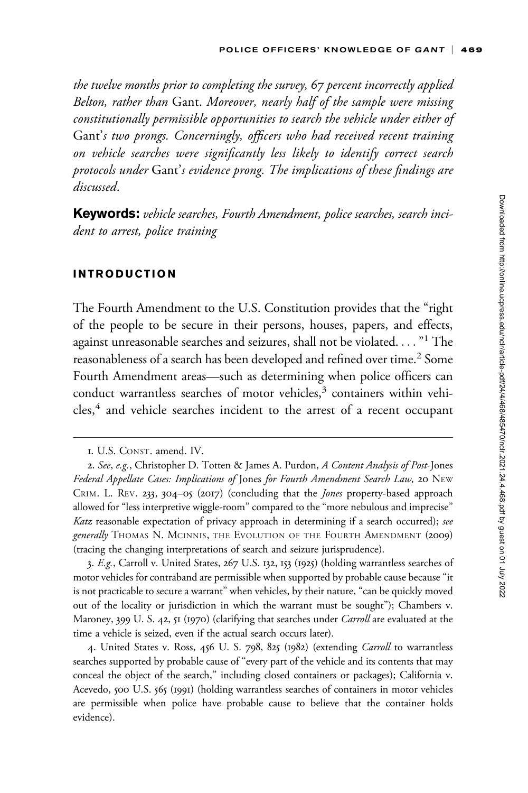the twelve months prior to completing the survey, 67 percent incorrectly applied Belton, rather than Gant. Moreover, nearly half of the sample were missing constitutionally permissible opportunities to search the vehicle under either of Gant's two prongs. Concerningly, officers who had received recent training on vehicle searches were significantly less likely to identify correct search protocols under Gant's evidence prong. The implications of these findings are discussed.

**Keywords:** vehicle searches, Fourth Amendment, police searches, search incident to arrest, police training

## INTRODUCTION

The Fourth Amendment to the U.S. Constitution provides that the "right of the people to be secure in their persons, houses, papers, and effects, against unreasonable searches and seizures, shall not be violated...."<sup>1</sup> The reasonableness of a search has been developed and refined over time.<sup>2</sup> Some Fourth Amendment areas—such as determining when police officers can conduct warrantless searches of motor vehicles,<sup>3</sup> containers within vehicles,<sup>4</sup> and vehicle searches incident to the arrest of a recent occupant

3. E.g., Carroll v. United States, 267 U.S. 132, 153 (1925) (holding warrantless searches of motor vehicles for contraband are permissible when supported by probable cause because "it is not practicable to secure a warrant" when vehicles, by their nature, "can be quickly moved out of the locality or jurisdiction in which the warrant must be sought"); Chambers v. Maroney, 399 U. S. 42, 51 (1970) (clarifying that searches under *Carroll* are evaluated at the time a vehicle is seized, even if the actual search occurs later).

4. United States v. Ross, 456 U. S. 798, 825 (1982) (extending Carroll to warrantless searches supported by probable cause of "every part of the vehicle and its contents that may conceal the object of the search," including closed containers or packages); California v. Acevedo, 500 U.S. 565 (1991) (holding warrantless searches of containers in motor vehicles are permissible when police have probable cause to believe that the container holds evidence).

<sup>1.</sup> U.S. CONST. amend. IV.

<sup>2.</sup> See, e.g., Christopher D. Totten & James A. Purdon, A Content Analysis of Post-Jones Federal Appellate Cases: Implications of Jones for Fourth Amendment Search Law, 20 NEW CRIM. L. REV. 233, 304–05 (2017) (concluding that the Jones property-based approach allowed for "less interpretive wiggle-room" compared to the "more nebulous and imprecise" Katz reasonable expectation of privacy approach in determining if a search occurred); see generally THOMAS N. MCINNIS, THE EVOLUTION OF THE FOURTH AMENDMENT (2009) (tracing the changing interpretations of search and seizure jurisprudence).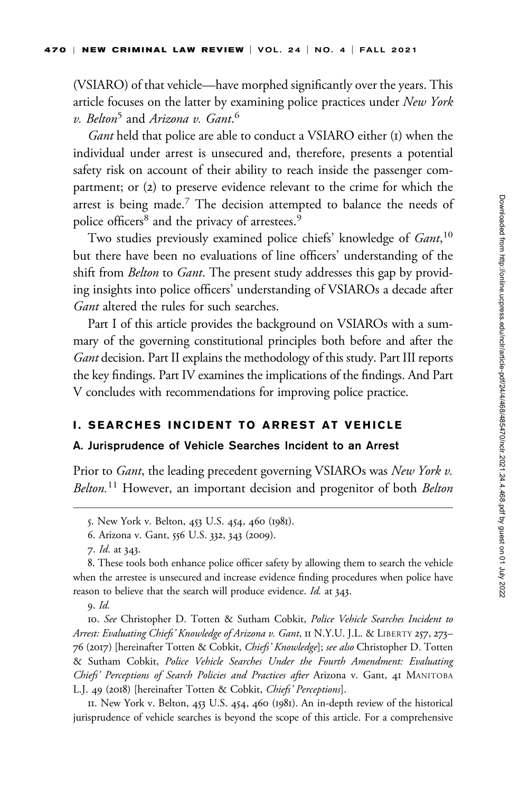(VSIARO) of that vehicle—have morphed significantly over the years. This article focuses on the latter by examining police practices under New York v. Belton<sup>5</sup> and Arizona v. Gant.<sup>6</sup>

Gant held that police are able to conduct a VSIARO either (1) when the individual under arrest is unsecured and, therefore, presents a potential safety risk on account of their ability to reach inside the passenger compartment; or (2) to preserve evidence relevant to the crime for which the arrest is being made.<sup>7</sup> The decision attempted to balance the needs of police officers<sup>8</sup> and the privacy of arrestees.<sup>9</sup>

Two studies previously examined police chiefs' knowledge of Gant,<sup>10</sup> but there have been no evaluations of line officers' understanding of the shift from *Belton* to *Gant*. The present study addresses this gap by providing insights into police officers' understanding of VSIAROs a decade after Gant altered the rules for such searches.

Part I of this article provides the background on VSIAROs with a summary of the governing constitutional principles both before and after the Gant decision. Part II explains the methodology of this study. Part III reports the key findings. Part IV examines the implications of the findings. And Part V concludes with recommendations for improving police practice.

## I. SEARCHES INCIDENT TO ARREST AT VEHICLE

## A. Jurisprudence of Vehicle Searches Incident to an Arrest

Prior to *Gant*, the leading precedent governing VSIAROs was New York v. Belton.<sup>11</sup> However, an important decision and progenitor of both Belton

10. See Christopher D. Totten & Sutham Cobkit, Police Vehicle Searches Incident to Arrest: Evaluating Chiefs' Knowledge of Arizona v. Gant, II N.Y.U. J.L. & LIBERTY 257, 273-76 (2017) [hereinafter Totten & Cobkit, Chiefs' Knowledge]; see also Christopher D. Totten & Sutham Cobkit, Police Vehicle Searches Under the Fourth Amendment: Evaluating Chiefs' Perceptions of Search Policies and Practices after Arizona v. Gant, 41 MANITOBA L.J. 49 (2018) [hereinafter Totten & Cobkit, Chiefs' Perceptions].

11. New York v. Belton, 453 U.S. 454, 460 (1981). An in-depth review of the historical jurisprudence of vehicle searches is beyond the scope of this article. For a comprehensive

<sup>5.</sup> New York v. Belton, 453 U.S. 454, 460 (1981).

<sup>6.</sup> Arizona v. Gant, 556 U.S. 332, 343 (2009).

<sup>7.</sup> Id. at 343.

<sup>8.</sup> These tools both enhance police officer safety by allowing them to search the vehicle when the arrestee is unsecured and increase evidence finding procedures when police have reason to believe that the search will produce evidence. Id. at 343.

<sup>9.</sup> Id.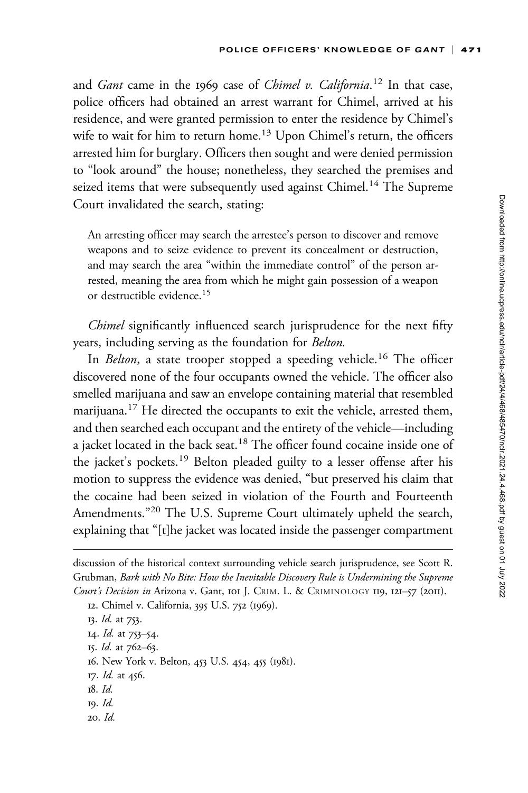and *Gant* came in the 1969 case of *Chimel v. California*.<sup>12</sup> In that case, police officers had obtained an arrest warrant for Chimel, arrived at his residence, and were granted permission to enter the residence by Chimel's wife to wait for him to return home.<sup>13</sup> Upon Chimel's return, the officers arrested him for burglary. Officers then sought and were denied permission to "look around" the house; nonetheless, they searched the premises and seized items that were subsequently used against Chimel.<sup>14</sup> The Supreme Court invalidated the search, stating:

An arresting officer may search the arrestee's person to discover and remove weapons and to seize evidence to prevent its concealment or destruction, and may search the area "within the immediate control" of the person arrested, meaning the area from which he might gain possession of a weapon or destructible evidence.<sup>15</sup>

Chimel significantly influenced search jurisprudence for the next fifty years, including serving as the foundation for Belton.

In *Belton*, a state trooper stopped a speeding vehicle.<sup>16</sup> The officer discovered none of the four occupants owned the vehicle. The officer also smelled marijuana and saw an envelope containing material that resembled marijuana.<sup>17</sup> He directed the occupants to exit the vehicle, arrested them, and then searched each occupant and the entirety of the vehicle—including a jacket located in the back seat.<sup>18</sup> The officer found cocaine inside one of the jacket's pockets.<sup>19</sup> Belton pleaded guilty to a lesser offense after his motion to suppress the evidence was denied, "but preserved his claim that the cocaine had been seized in violation of the Fourth and Fourteenth Amendments."<sup>20</sup> The U.S. Supreme Court ultimately upheld the search, explaining that "[t]he jacket was located inside the passenger compartment

13. *Id.* at 753.

14. *Id.* at 753–54. 15. Id. at 762–63.

16. New York v. Belton, 453 U.S. 454, 455 (1981).

- 17. *Id.* at 456.
- 18. Id.
- 19. Id.
- 20. Id.

discussion of the historical context surrounding vehicle search jurisprudence, see Scott R. Grubman, Bark with No Bite: How the Inevitable Discovery Rule is Undermining the Supreme Court's Decision in Arizona v. Gant, 101 J. CRIM. L. & CRIMINOLOGY 119, 121-57 (2011).

<sup>12.</sup> Chimel v. California, 395 U.S. 752 (1969).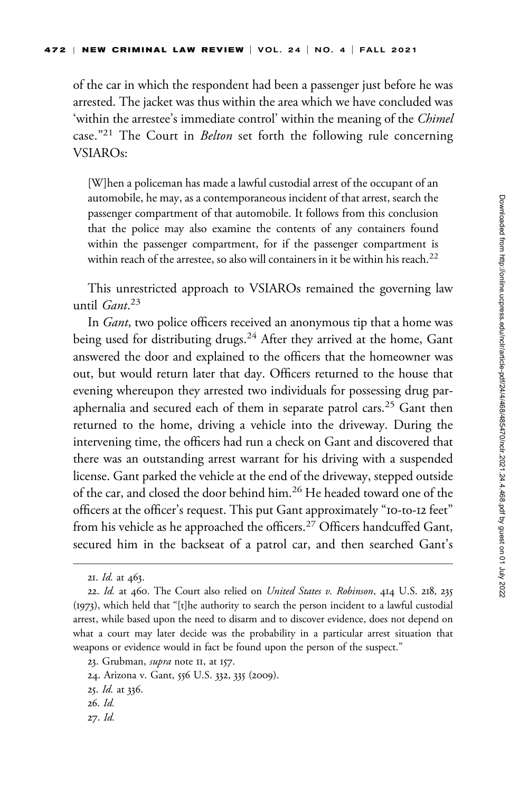of the car in which the respondent had been a passenger just before he was arrested. The jacket was thus within the area which we have concluded was 'within the arrestee's immediate control' within the meaning of the Chimel case."<sup>21</sup> The Court in *Belton* set forth the following rule concerning VSIAROs:

[W]hen a policeman has made a lawful custodial arrest of the occupant of an automobile, he may, as a contemporaneous incident of that arrest, search the passenger compartment of that automobile. It follows from this conclusion that the police may also examine the contents of any containers found within the passenger compartment, for if the passenger compartment is within reach of the arrestee, so also will containers in it be within his reach.<sup>22</sup>

This unrestricted approach to VSIAROs remained the governing law until *Gant*.<sup>23</sup>

In *Gant*, two police officers received an anonymous tip that a home was being used for distributing drugs.<sup>24</sup> After they arrived at the home, Gant answered the door and explained to the officers that the homeowner was out, but would return later that day. Officers returned to the house that evening whereupon they arrested two individuals for possessing drug paraphernalia and secured each of them in separate patrol cars.<sup>25</sup> Gant then returned to the home, driving a vehicle into the driveway. During the intervening time, the officers had run a check on Gant and discovered that there was an outstanding arrest warrant for his driving with a suspended license. Gant parked the vehicle at the end of the driveway, stepped outside of the car, and closed the door behind him.26 He headed toward one of the officers at the officer's request. This put Gant approximately "10-to-12 feet" from his vehicle as he approached the officers.<sup>27</sup> Officers handcuffed Gant, secured him in the backseat of a patrol car, and then searched Gant's

<sup>21.</sup> *Id.* at 463.

<sup>22.</sup> Id. at 460. The Court also relied on *United States v. Robinson*, 414 U.S. 218, 235 (1973), which held that "[t]he authority to search the person incident to a lawful custodial arrest, while based upon the need to disarm and to discover evidence, does not depend on what a court may later decide was the probability in a particular arrest situation that weapons or evidence would in fact be found upon the person of the suspect."

<sup>23.</sup> Grubman, *supra* note II, at 157.

<sup>24.</sup> Arizona v. Gant, 556 U.S. 332, 335 (2009).

<sup>25.</sup> Id. at 336.

<sup>26.</sup> Id.

<sup>27.</sup> Id.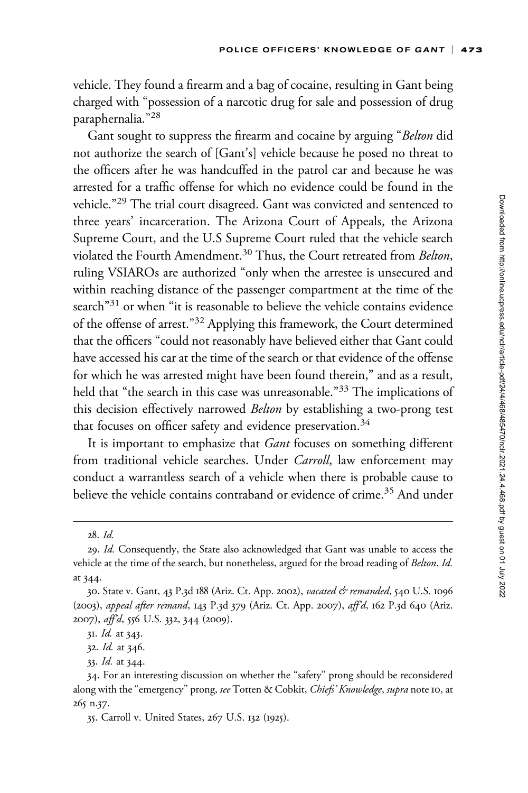vehicle. They found a firearm and a bag of cocaine, resulting in Gant being charged with "possession of a narcotic drug for sale and possession of drug paraphernalia."<sup>28</sup>

Gant sought to suppress the firearm and cocaine by arguing "Belton did not authorize the search of [Gant's] vehicle because he posed no threat to the officers after he was handcuffed in the patrol car and because he was arrested for a traffic offense for which no evidence could be found in the vehicle."<sup>29</sup> The trial court disagreed. Gant was convicted and sentenced to three years' incarceration. The Arizona Court of Appeals, the Arizona Supreme Court, and the U.S Supreme Court ruled that the vehicle search violated the Fourth Amendment.<sup>30</sup> Thus, the Court retreated from Belton, ruling VSIAROs are authorized "only when the arrestee is unsecured and within reaching distance of the passenger compartment at the time of the search"<sup>31</sup> or when "it is reasonable to believe the vehicle contains evidence of the offense of arrest."<sup>32</sup> Applying this framework, the Court determined that the officers "could not reasonably have believed either that Gant could have accessed his car at the time of the search or that evidence of the offense for which he was arrested might have been found therein," and as a result, held that "the search in this case was unreasonable."<sup>33</sup> The implications of this decision effectively narrowed Belton by establishing a two-prong test that focuses on officer safety and evidence preservation.<sup>34</sup>

It is important to emphasize that *Gant* focuses on something different from traditional vehicle searches. Under Carroll, law enforcement may conduct a warrantless search of a vehicle when there is probable cause to believe the vehicle contains contraband or evidence of crime.<sup>35</sup> And under

<sup>28.</sup> Id.

<sup>29.</sup> Id. Consequently, the State also acknowledged that Gant was unable to access the vehicle at the time of the search, but nonetheless, argued for the broad reading of Belton. Id. at 344.

<sup>30.</sup> State v. Gant, 43 P.3d 188 (Ariz. Ct. App. 2002), vacated & remanded, 540 U.S. 1096 (2003), appeal after remand, 143 P.3d 379 (Ariz. Ct. App. 2007), aff'd, 162 P.3d 640 (Ariz. 2007), aff'd, 556 U.S. 332, 344 (2009).

<sup>31.</sup> Id. at 343.

<sup>32.</sup> Id. at 346.

<sup>33.</sup> Id. at 344.

<sup>34.</sup> For an interesting discussion on whether the "safety" prong should be reconsidered along with the "emergency" prong, see Totten & Cobkit, Chiefs' Knowledge, supra note 10, at 265 n.37.

<sup>35.</sup> Carroll v. United States, 267 U.S. 132 (1925).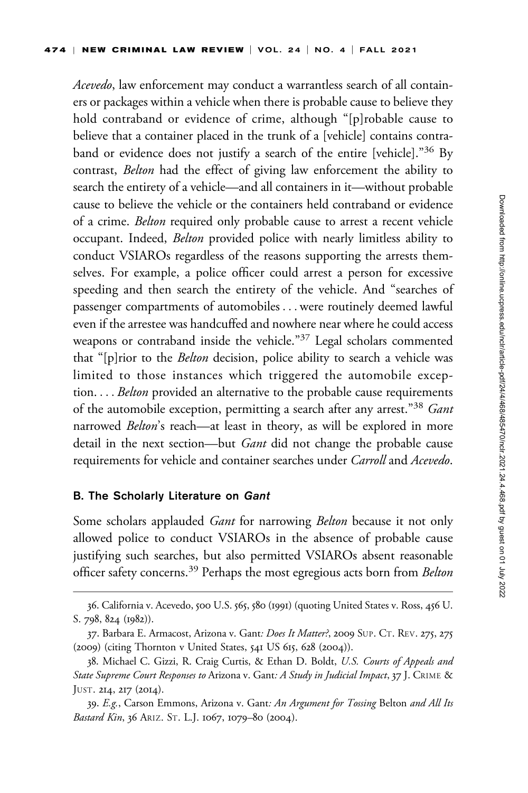Acevedo, law enforcement may conduct a warrantless search of all containers or packages within a vehicle when there is probable cause to believe they hold contraband or evidence of crime, although "[p]robable cause to believe that a container placed in the trunk of a [vehicle] contains contraband or evidence does not justify a search of the entire [vehicle]."<sup>36</sup> By contrast, Belton had the effect of giving law enforcement the ability to search the entirety of a vehicle—and all containers in it—without probable cause to believe the vehicle or the containers held contraband or evidence of a crime. Belton required only probable cause to arrest a recent vehicle occupant. Indeed, Belton provided police with nearly limitless ability to conduct VSIAROs regardless of the reasons supporting the arrests themselves. For example, a police officer could arrest a person for excessive speeding and then search the entirety of the vehicle. And "searches of passenger compartments of automobiles ... were routinely deemed lawful even if the arrestee was handcuffed and nowhere near where he could access weapons or contraband inside the vehicle."<sup>37</sup> Legal scholars commented that "[p]rior to the Belton decision, police ability to search a vehicle was limited to those instances which triggered the automobile exception. . . . Belton provided an alternative to the probable cause requirements of the automobile exception, permitting a search after any arrest."<sup>38</sup> Gant narrowed *Belton's* reach—at least in theory, as will be explored in more detail in the next section—but Gant did not change the probable cause requirements for vehicle and container searches under Carroll and Acevedo.

## B. The Scholarly Literature on Gant

Some scholars applauded *Gant* for narrowing *Belton* because it not only allowed police to conduct VSIAROs in the absence of probable cause justifying such searches, but also permitted VSIAROs absent reasonable officer safety concerns.<sup>39</sup> Perhaps the most egregious acts born from Belton

<sup>36.</sup> California v. Acevedo, 500 U.S. 565, 580 (1991) (quoting United States v. Ross, 456 U. S. 798, 824 (1982)).

<sup>37.</sup> Barbara E. Armacost, Arizona v. Gant*: Does It Matter?*, 2009 SUP. CT. REV. 275, 275 (2009) (citing Thornton v United States, 541 US 615, 628 (2004)).

<sup>38.</sup> Michael C. Gizzi, R. Craig Curtis, & Ethan D. Boldt, U.S. Courts of Appeals and State Supreme Court Responses to Arizona v. Gant: A Study in Judicial Impact, 37 J. CRIME & JUST. 214, 217 (2014).

<sup>39.</sup> E.g., Carson Emmons, Arizona v. Gant: An Argument for Tossing Belton and All Its Bastard Kin, 36 ARIZ. ST. L.J. 1067, 1079–80 (2004).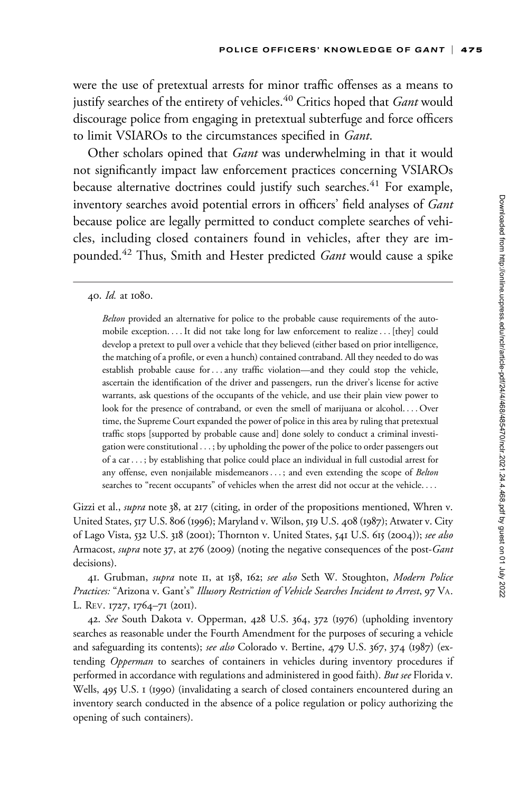were the use of pretextual arrests for minor traffic offenses as a means to justify searches of the entirety of vehicles.<sup>40</sup> Critics hoped that Gant would discourage police from engaging in pretextual subterfuge and force officers to limit VSIAROs to the circumstances specified in Gant.

Other scholars opined that *Gant* was underwhelming in that it would not significantly impact law enforcement practices concerning VSIAROs because alternative doctrines could justify such searches.<sup>41</sup> For example, inventory searches avoid potential errors in officers' field analyses of Gant because police are legally permitted to conduct complete searches of vehicles, including closed containers found in vehicles, after they are impounded.<sup>42</sup> Thus, Smith and Hester predicted *Gant* would cause a spike

40. Id. at 1080.

Belton provided an alternative for police to the probable cause requirements of the automobile exception. ... It did not take long for law enforcement to realize... [they] could develop a pretext to pull over a vehicle that they believed (either based on prior intelligence, the matching of a profile, or even a hunch) contained contraband. All they needed to do was establish probable cause for ...any traffic violation—and they could stop the vehicle, ascertain the identification of the driver and passengers, run the driver's license for active warrants, ask questions of the occupants of the vehicle, and use their plain view power to look for the presence of contraband, or even the smell of marijuana or alcohol. ... Over time, the Supreme Court expanded the power of police in this area by ruling that pretextual traffic stops [supported by probable cause and] done solely to conduct a criminal investigation were constitutional ... ; by upholding the power of the police to order passengers out of a car ... ; by establishing that police could place an individual in full custodial arrest for any offense, even nonjailable misdemeanors ...; and even extending the scope of Belton searches to "recent occupants" of vehicles when the arrest did not occur at the vehicle....

Gizzi et al., *supra* note 38, at 217 (citing, in order of the propositions mentioned, Whren v. United States, 517 U.S. 806 (1996); Maryland v. Wilson, 519 U.S. 408 (1987); Atwater v. City of Lago Vista, 532 U.S. 318 (2001); Thornton v. United States, 541 U.S. 615 (2004)); see also Armacost, *supra* note 37, at 276 (2009) (noting the negative consequences of the post-*Gant* decisions).

41. Grubman, supra note 11, at 158, 162; see also Seth W. Stoughton, Modern Police Practices: "Arizona v. Gant's" Illusory Restriction of Vehicle Searches Incident to Arrest, 97 VA. L. REV. 1727, 1764–71 (2011).

42. See South Dakota v. Opperman, 428 U.S. 364, 372 (1976) (upholding inventory searches as reasonable under the Fourth Amendment for the purposes of securing a vehicle and safeguarding its contents); see also Colorado v. Bertine, 479 U.S. 367, 374 (1987) (extending Opperman to searches of containers in vehicles during inventory procedures if performed in accordance with regulations and administered in good faith). But see Florida v. Wells, 495 U.S. 1 (1990) (invalidating a search of closed containers encountered during an inventory search conducted in the absence of a police regulation or policy authorizing the opening of such containers).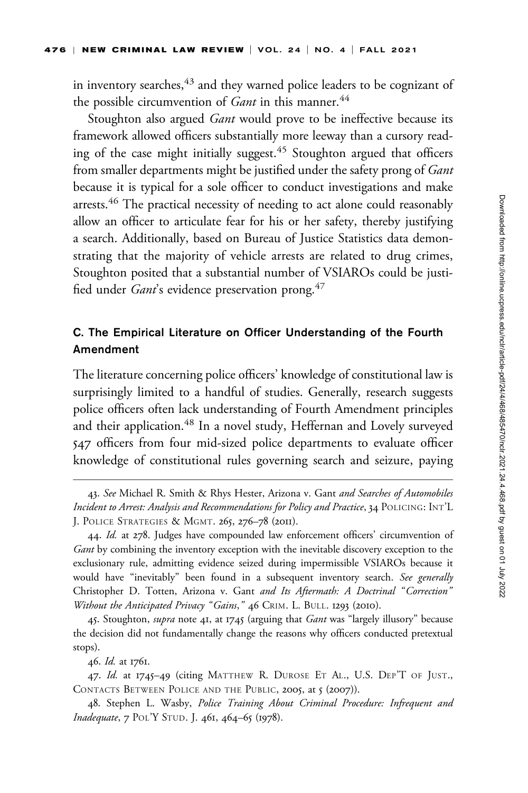in inventory searches,<sup>43</sup> and they warned police leaders to be cognizant of the possible circumvention of  $G$ ant in this manner.<sup>44</sup>

Stoughton also argued *Gant* would prove to be ineffective because its framework allowed officers substantially more leeway than a cursory reading of the case might initially suggest.<sup>45</sup> Stoughton argued that officers from smaller departments might be justified under the safety prong of Gant because it is typical for a sole officer to conduct investigations and make arrests.<sup>46</sup> The practical necessity of needing to act alone could reasonably allow an officer to articulate fear for his or her safety, thereby justifying a search. Additionally, based on Bureau of Justice Statistics data demonstrating that the majority of vehicle arrests are related to drug crimes, Stoughton posited that a substantial number of VSIAROs could be justified under *Gant's* evidence preservation prong.<sup>47</sup>

# C. The Empirical Literature on Officer Understanding of the Fourth Amendment

The literature concerning police officers' knowledge of constitutional law is surprisingly limited to a handful of studies. Generally, research suggests police officers often lack understanding of Fourth Amendment principles and their application.<sup>48</sup> In a novel study, Heffernan and Lovely surveyed 547 officers from four mid-sized police departments to evaluate officer knowledge of constitutional rules governing search and seizure, paying

<sup>43.</sup> See Michael R. Smith & Rhys Hester, Arizona v. Gant and Searches of Automobiles Incident to Arrest: Analysis and Recommendations for Policy and Practice, 34 POLICING: INT'L J. POLICE STRATEGIES & MGMT. 265, 276–78 (2011).

<sup>44.</sup> Id. at 278. Judges have compounded law enforcement officers' circumvention of Gant by combining the inventory exception with the inevitable discovery exception to the exclusionary rule, admitting evidence seized during impermissible VSIAROs because it would have "inevitably" been found in a subsequent inventory search. See generally Christopher D. Totten, Arizona v. Gant and Its Aftermath: A Doctrinal "Correction" Without the Anticipated Privacy "Gains," 46 CRIM. L. BULL. 1293 (2010).

<sup>45.</sup> Stoughton, *supra* note 41, at 1745 (arguing that *Gant* was "largely illusory" because the decision did not fundamentally change the reasons why officers conducted pretextual stops).

<sup>46.</sup> Id. at 1761.

<sup>47.</sup> Id. at 1745-49 (citing MATTHEW R. DUROSE ET AL., U.S. DEP'T OF JUST., CONTACTS BETWEEN POLICE AND THE PUBLIC, 2005, at 5 (2007)).

<sup>48.</sup> Stephen L. Wasby, Police Training About Criminal Procedure: Infrequent and Inadequate, 7 POL'Y STUD. J. 461, 464–65 (1978).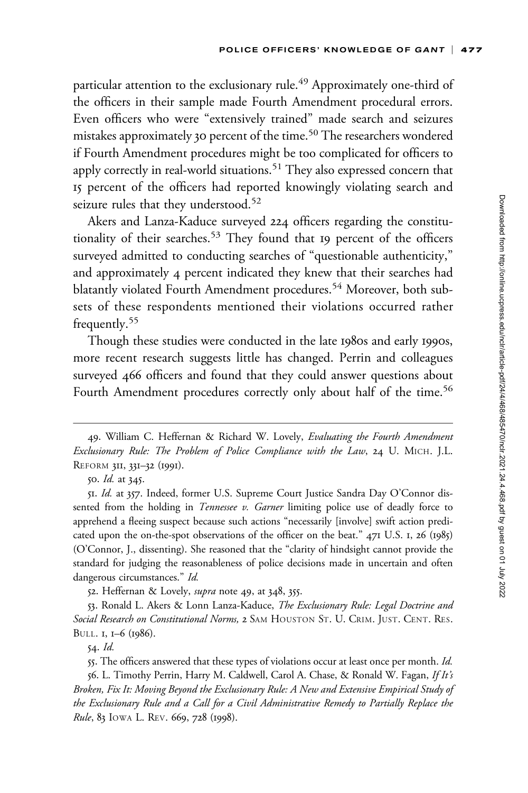particular attention to the exclusionary rule.<sup>49</sup> Approximately one-third of the officers in their sample made Fourth Amendment procedural errors. Even officers who were "extensively trained" made search and seizures mistakes approximately 30 percent of the time.<sup>50</sup> The researchers wondered if Fourth Amendment procedures might be too complicated for officers to apply correctly in real-world situations.<sup>51</sup> They also expressed concern that 15 percent of the officers had reported knowingly violating search and seizure rules that they understood.<sup>52</sup>

Akers and Lanza-Kaduce surveyed 224 officers regarding the constitutionality of their searches.<sup>53</sup> They found that 19 percent of the officers surveyed admitted to conducting searches of "questionable authenticity," and approximately 4 percent indicated they knew that their searches had blatantly violated Fourth Amendment procedures.<sup>54</sup> Moreover, both subsets of these respondents mentioned their violations occurred rather frequently.<sup>55</sup>

Though these studies were conducted in the late 1980s and early 1990s, more recent research suggests little has changed. Perrin and colleagues surveyed 466 officers and found that they could answer questions about Fourth Amendment procedures correctly only about half of the time.<sup>56</sup>

52. Heffernan & Lovely, *supra* note 49, at 348, 355.

53. Ronald L. Akers & Lonn Lanza-Kaduce, The Exclusionary Rule: Legal Doctrine and Social Research on Constitutional Norms, 2 SAM HOUSTON ST. U. CRIM. JUST. CENT. RES. BULL. 1, 1–6 (1986).

54. Id.

55. The officers answered that these types of violations occur at least once per month. Id.

56. L. Timothy Perrin, Harry M. Caldwell, Carol A. Chase, & Ronald W. Fagan, If It's Broken, Fix It: Moving Beyond the Exclusionary Rule: A New and Extensive Empirical Study of the Exclusionary Rule and a Call for a Civil Administrative Remedy to Partially Replace the Rule, 83 IOWA L. REV. 669, 728 (1998).

<sup>49.</sup> William C. Heffernan & Richard W. Lovely, Evaluating the Fourth Amendment Exclusionary Rule: The Problem of Police Compliance with the Law, 24 U. MICH. J.L. REFORM 311, 331–32 (1991).

<sup>50.</sup> Id. at 345.

<sup>51.</sup> Id. at 357. Indeed, former U.S. Supreme Court Justice Sandra Day O'Connor dissented from the holding in *Tennessee v. Garner* limiting police use of deadly force to apprehend a fleeing suspect because such actions "necessarily [involve] swift action predicated upon the on-the-spot observations of the officer on the beat." 471 U.S. 1, 26 (1985) (O'Connor, J., dissenting). She reasoned that the "clarity of hindsight cannot provide the standard for judging the reasonableness of police decisions made in uncertain and often dangerous circumstances." Id.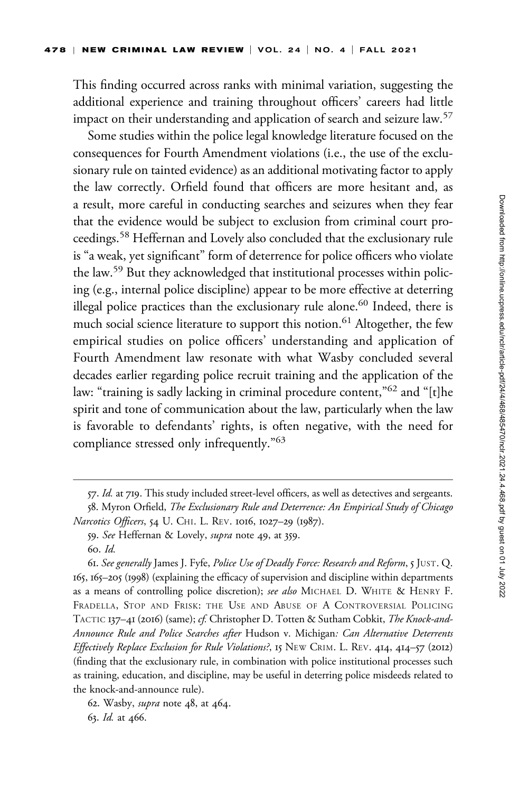This finding occurred across ranks with minimal variation, suggesting the additional experience and training throughout officers' careers had little impact on their understanding and application of search and seizure law.<sup>57</sup>

Some studies within the police legal knowledge literature focused on the consequences for Fourth Amendment violations (i.e., the use of the exclusionary rule on tainted evidence) as an additional motivating factor to apply the law correctly. Orfield found that officers are more hesitant and, as a result, more careful in conducting searches and seizures when they fear that the evidence would be subject to exclusion from criminal court proceedings.<sup>58</sup> Heffernan and Lovely also concluded that the exclusionary rule is "a weak, yet significant" form of deterrence for police officers who violate the law.<sup>59</sup> But they acknowledged that institutional processes within policing (e.g., internal police discipline) appear to be more effective at deterring illegal police practices than the exclusionary rule alone.<sup>60</sup> Indeed, there is much social science literature to support this notion.<sup>61</sup> Altogether, the few empirical studies on police officers' understanding and application of Fourth Amendment law resonate with what Wasby concluded several decades earlier regarding police recruit training and the application of the law: "training is sadly lacking in criminal procedure content,"<sup>62</sup> and "[t]he spirit and tone of communication about the law, particularly when the law is favorable to defendants' rights, is often negative, with the need for compliance stressed only infrequently."<sup>63</sup>

<sup>57.</sup> Id. at 719. This study included street-level officers, as well as detectives and sergeants. 58. Myron Orfield, The Exclusionary Rule and Deterrence: An Empirical Study of Chicago

Narcotics Officers, 54 U. CHI. L. REV. 1016, 1027-29 (1987).

<sup>59.</sup> See Heffernan & Lovely, supra note 49, at 359.

<sup>60.</sup> Id.

<sup>61.</sup> See generally James J. Fyfe, Police Use of Deadly Force: Research and Reform, 5 JUST. Q. 165, 165–205 (1998) (explaining the efficacy of supervision and discipline within departments as a means of controlling police discretion); see also MICHAEL D. WHITE & HENRY F. FRADELLA, STOP AND FRISK: THE USE AND ABUSE OF A CONTROVERSIAL POLICING TACTIC 137–41 (2016) (same); cf. Christopher D. Totten & Sutham Cobkit, The Knock-and-Announce Rule and Police Searches after Hudson v. Michigan: Can Alternative Deterrents Effectively Replace Exclusion for Rule Violations?, 15 NEW CRIM. L. REV. 414, 414–57 (2012) (finding that the exclusionary rule, in combination with police institutional processes such as training, education, and discipline, may be useful in deterring police misdeeds related to the knock-and-announce rule).

<sup>62.</sup> Wasby, supra note 48, at 464. 63. Id. at 466.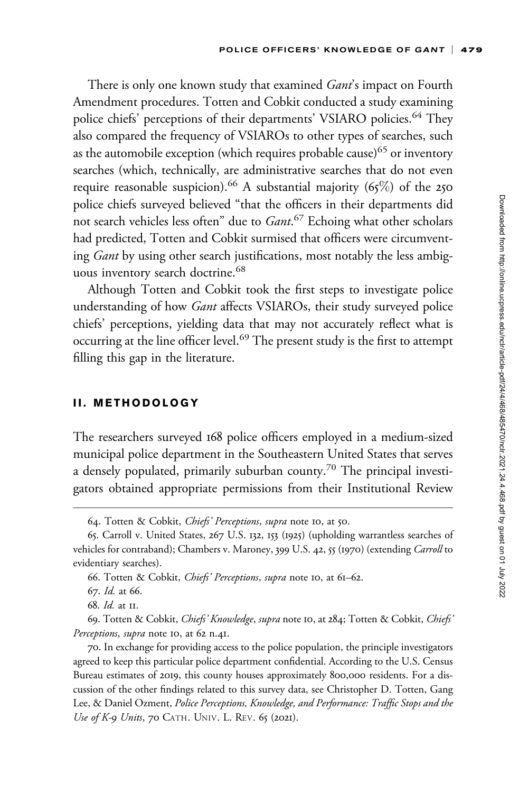There is only one known study that examined *Gant's* impact on Fourth Amendment procedures. Totten and Cobkit conducted a study examining police chiefs' perceptions of their departments' VSIARO policies.<sup>64</sup> They also compared the frequency of VSIAROs to other types of searches, such as the automobile exception (which requires probable cause)<sup>65</sup> or inventory searches (which, technically, are administrative searches that do not even require reasonable suspicion).<sup>66</sup> A substantial majority (65%) of the 250 police chiefs surveyed believed "that the officers in their departments did not search vehicles less often" due to Gant.<sup>67</sup> Echoing what other scholars had predicted, Totten and Cobkit surmised that officers were circumventing *Gant* by using other search justifications, most notably the less ambiguous inventory search doctrine.<sup>68</sup>

Although Totten and Cobkit took the first steps to investigate police understanding of how *Gant* affects VSIAROs, their study surveyed police chiefs' perceptions, yielding data that may not accurately reflect what is occurring at the line officer level.<sup>69</sup> The present study is the first to attempt filling this gap in the literature.

## II. METHODOLOGY

The researchers surveyed 168 police officers employed in a medium-sized municipal police department in the Southeastern United States that serves a densely populated, primarily suburban county.<sup>70</sup> The principal investigators obtained appropriate permissions from their Institutional Review

<sup>64.</sup> Totten & Cobkit, Chiefs' Perceptions, supra note 10, at 50.

<sup>65.</sup> Carroll v. United States, 267 U.S. 132, 153 (1925) (upholding warrantless searches of vehicles for contraband); Chambers v. Maroney, 399 U.S. 42, 55 (1970) (extending Carroll to evidentiary searches).

<sup>66.</sup> Totten & Cobkit, Chiefs' Perceptions, supra note 10, at 61–62.

<sup>67.</sup> Id. at 66.

<sup>68.</sup> Id. at 11.

<sup>69.</sup> Totten & Cobkit, Chiefs' Knowledge, supra note 10, at 284; Totten & Cobkit, Chiefs' Perceptions, supra note 10, at 62 n.41.

<sup>70.</sup> In exchange for providing access to the police population, the principle investigators agreed to keep this particular police department confidential. According to the U.S. Census Bureau estimates of 2019, this county houses approximately 800,000 residents. For a discussion of the other findings related to this survey data, see Christopher D. Totten, Gang Lee, & Daniel Ozment, Police Perceptions, Knowledge, and Performance: Traffic Stops and the Use of K-9 Units, 70 CATH. UNIV. L. REV. 65 (2021).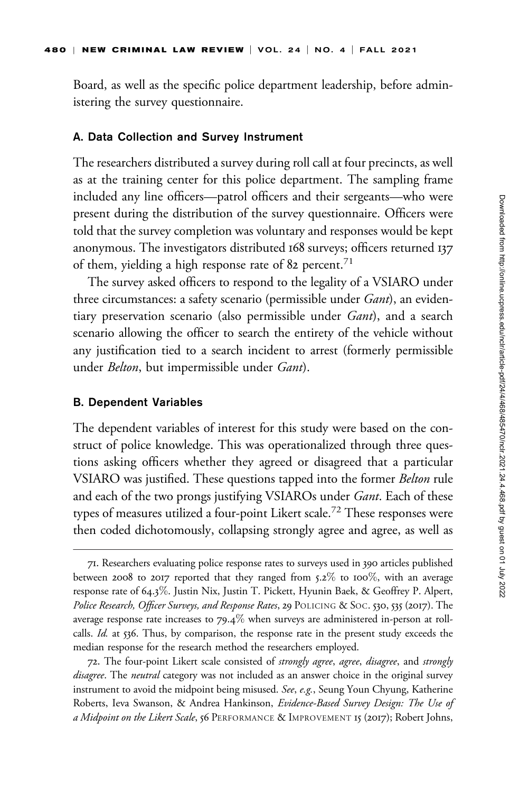Board, as well as the specific police department leadership, before administering the survey questionnaire.

#### A. Data Collection and Survey Instrument

The researchers distributed a survey during roll call at four precincts, as well as at the training center for this police department. The sampling frame included any line officers—patrol officers and their sergeants—who were present during the distribution of the survey questionnaire. Officers were told that the survey completion was voluntary and responses would be kept anonymous. The investigators distributed 168 surveys; officers returned 137 of them, yielding a high response rate of 82 percent.<sup>71</sup>

The survey asked officers to respond to the legality of a VSIARO under three circumstances: a safety scenario (permissible under *Gant*), an evidentiary preservation scenario (also permissible under *Gant*), and a search scenario allowing the officer to search the entirety of the vehicle without any justification tied to a search incident to arrest (formerly permissible under *Belton*, but impermissible under *Gant*).

#### B. Dependent Variables

The dependent variables of interest for this study were based on the construct of police knowledge. This was operationalized through three questions asking officers whether they agreed or disagreed that a particular VSIARO was justified. These questions tapped into the former Belton rule and each of the two prongs justifying VSIAROs under Gant. Each of these types of measures utilized a four-point Likert scale.<sup>72</sup> These responses were then coded dichotomously, collapsing strongly agree and agree, as well as

72. The four-point Likert scale consisted of *strongly agree, agree, disagree*, and *strongly* disagree. The neutral category was not included as an answer choice in the original survey instrument to avoid the midpoint being misused. See, e.g., Seung Youn Chyung, Katherine Roberts, Ieva Swanson, & Andrea Hankinson, Evidence-Based Survey Design: The Use of a Midpoint on the Likert Scale, 56 PERFORMANCE & IMPROVEMENT 15 (2017); Robert Johns,

<sup>71.</sup> Researchers evaluating police response rates to surveys used in 390 articles published between 2008 to 2017 reported that they ranged from 5.2% to 100%, with an average response rate of 64.3%. Justin Nix, Justin T. Pickett, Hyunin Baek, & Geoffrey P. Alpert, Police Research, Officer Surveys, and Response Rates, 29 POLICING & SOC. 530, 535 (2017). The average response rate increases to  $79.4\%$  when surveys are administered in-person at rollcalls. Id. at 536. Thus, by comparison, the response rate in the present study exceeds the median response for the research method the researchers employed.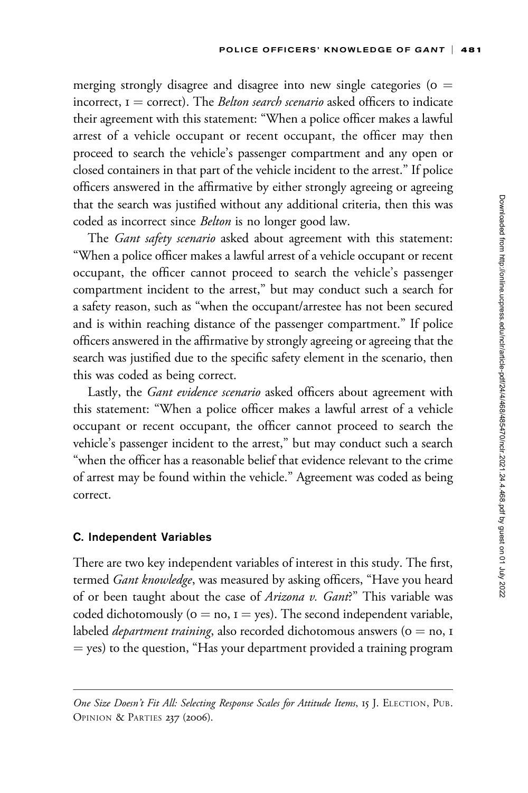merging strongly disagree and disagree into new single categories ( $o =$ incorrect,  $I =$  correct). The *Belton search scenario* asked officers to indicate their agreement with this statement: "When a police officer makes a lawful arrest of a vehicle occupant or recent occupant, the officer may then proceed to search the vehicle's passenger compartment and any open or closed containers in that part of the vehicle incident to the arrest." If police officers answered in the affirmative by either strongly agreeing or agreeing that the search was justified without any additional criteria, then this was coded as incorrect since Belton is no longer good law.

The Gant safety scenario asked about agreement with this statement: "When a police officer makes a lawful arrest of a vehicle occupant or recent occupant, the officer cannot proceed to search the vehicle's passenger compartment incident to the arrest," but may conduct such a search for a safety reason, such as "when the occupant/arrestee has not been secured and is within reaching distance of the passenger compartment." If police officers answered in the affirmative by strongly agreeing or agreeing that the search was justified due to the specific safety element in the scenario, then this was coded as being correct.

Lastly, the *Gant evidence scenario* asked officers about agreement with this statement: "When a police officer makes a lawful arrest of a vehicle occupant or recent occupant, the officer cannot proceed to search the vehicle's passenger incident to the arrest," but may conduct such a search "when the officer has a reasonable belief that evidence relevant to the crime of arrest may be found within the vehicle." Agreement was coded as being correct.

## C. Independent Variables

There are two key independent variables of interest in this study. The first, termed *Gant knowledge*, was measured by asking officers, "Have you heard of or been taught about the case of Arizona v. Gant?" This variable was coded dichotomously ( $o = no$ ,  $I = yes$ ). The second independent variable, labeled *department training*, also recorded dichotomous answers ( $o = no$ , 1)  $=$  yes) to the question, "Has your department provided a training program

One Size Doesn't Fit All: Selecting Response Scales for Attitude Items, 15 J. ELECTION, PUB. OPINION & PARTIES 237 (2006).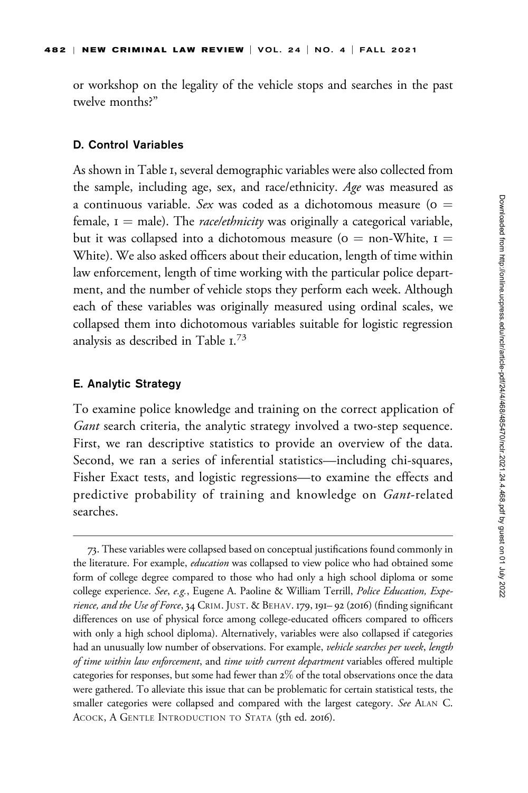or workshop on the legality of the vehicle stops and searches in the past twelve months?"

### D. Control Variables

As shown in Table 1, several demographic variables were also collected from the sample, including age, sex, and race/ethnicity. Age was measured as a continuous variable. Sex was coded as a dichotomous measure ( $o =$ female,  $I =$  male). The *race/ethnicity* was originally a categorical variable, but it was collapsed into a dichotomous measure ( $o = \text{non-White}$ ,  $I =$ White). We also asked officers about their education, length of time within law enforcement, length of time working with the particular police department, and the number of vehicle stops they perform each week. Although each of these variables was originally measured using ordinal scales, we collapsed them into dichotomous variables suitable for logistic regression analysis as described in Table  $1.^{73}$ 

#### E. Analytic Strategy

To examine police knowledge and training on the correct application of Gant search criteria, the analytic strategy involved a two-step sequence. First, we ran descriptive statistics to provide an overview of the data. Second, we ran a series of inferential statistics—including chi-squares, Fisher Exact tests, and logistic regressions—to examine the effects and predictive probability of training and knowledge on *Gant-related* searches.

<sup>73.</sup> These variables were collapsed based on conceptual justifications found commonly in the literature. For example, *education* was collapsed to view police who had obtained some form of college degree compared to those who had only a high school diploma or some college experience. See, e.g., Eugene A. Paoline & William Terrill, Police Education, Experience, and the Use of Force, 34 CRIM. JUST. & BEHAV. 179, 191– 92 (2016) (finding significant differences on use of physical force among college-educated officers compared to officers with only a high school diploma). Alternatively, variables were also collapsed if categories had an unusually low number of observations. For example, vehicle searches per week, length of time within law enforcement, and time with current department variables offered multiple categories for responses, but some had fewer than 2% of the total observations once the data were gathered. To alleviate this issue that can be problematic for certain statistical tests, the smaller categories were collapsed and compared with the largest category. See ALAN C. ACOCK, A GENTLE INTRODUCTION TO STATA (5th ed. 2016).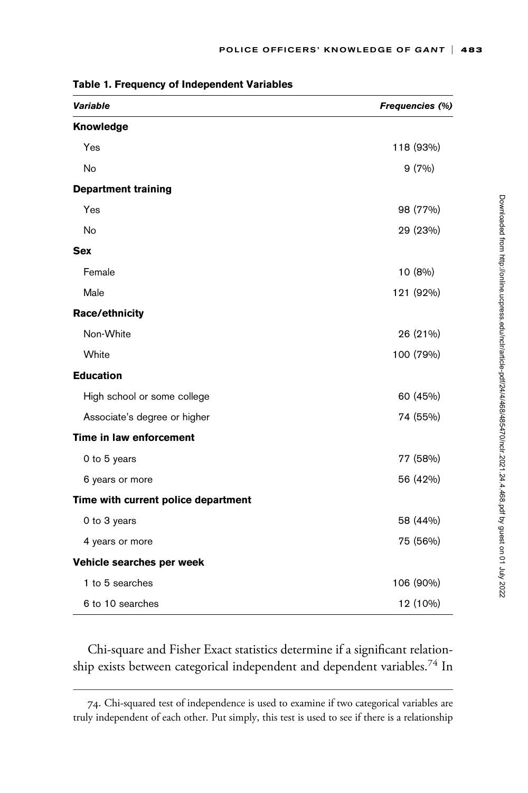| Variable                            | Frequencies (%) |
|-------------------------------------|-----------------|
| Knowledge                           |                 |
| Yes                                 | 118 (93%)       |
| <b>No</b>                           | 9(7%)           |
| <b>Department training</b>          |                 |
| Yes                                 | 98 (77%)        |
| No                                  | 29 (23%)        |
| <b>Sex</b>                          |                 |
| Female                              | 10 (8%)         |
| Male                                | 121 (92%)       |
| Race/ethnicity                      |                 |
| Non-White                           | 26 (21%)        |
| White                               | 100 (79%)       |
| <b>Education</b>                    |                 |
| High school or some college         | 60 (45%)        |
| Associate's degree or higher        | 74 (55%)        |
| Time in law enforcement             |                 |
| 0 to 5 years                        | 77 (58%)        |
| 6 years or more                     | 56 (42%)        |
| Time with current police department |                 |
| 0 to 3 years                        | 58 (44%)        |
| 4 years or more                     | 75 (56%)        |
| Vehicle searches per week           |                 |
| 1 to 5 searches                     | 106 (90%)       |
| 6 to 10 searches                    | 12 (10%)        |

Table 1. Frequency of Independent Variables

Chi-square and Fisher Exact statistics determine if a significant relationship exists between categorical independent and dependent variables.<sup>74</sup> In

<sup>74.</sup> Chi-squared test of independence is used to examine if two categorical variables are truly independent of each other. Put simply, this test is used to see if there is a relationship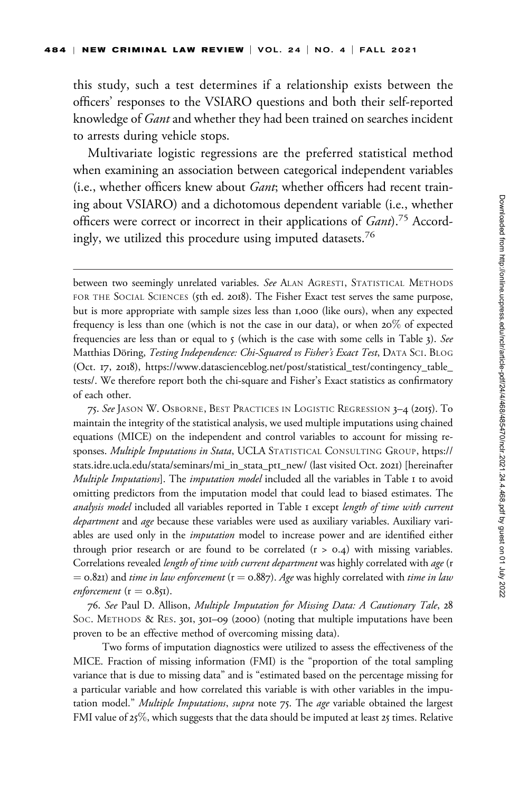this study, such a test determines if a relationship exists between the officers' responses to the VSIARO questions and both their self-reported knowledge of Gant and whether they had been trained on searches incident to arrests during vehicle stops.

Multivariate logistic regressions are the preferred statistical method when examining an association between categorical independent variables (i.e., whether officers knew about Gant; whether officers had recent training about VSIARO) and a dichotomous dependent variable (i.e., whether officers were correct or incorrect in their applications of Gant).<sup>75</sup> Accordingly, we utilized this procedure using imputed datasets.<sup>76</sup>

75. See JASON W. OSBORNE, BEST PRACTICES IN LOGISTIC REGRESSION 3–4 (2015). To maintain the integrity of the statistical analysis, we used multiple imputations using chained equations (MICE) on the independent and control variables to account for missing responses. Multiple Imputations in Stata, UCLA STATISTICAL CONSULTING GROUP, [https://](https://stats.idre.ucla.edu/stata/seminars/mi_in_stata_pt1_new/) [stats.idre.ucla.edu/stata/seminars/mi\\_in\\_stata\\_pt](https://stats.idre.ucla.edu/stata/seminars/mi_in_stata_pt1_new/)1\_new/ (last visited Oct. 2021) [hereinafter Multiple Imputations]. The imputation model included all the variables in Table I to avoid omitting predictors from the imputation model that could lead to biased estimates. The analysis model included all variables reported in Table I except length of time with current department and age because these variables were used as auxiliary variables. Auxiliary variables are used only in the *imputation* model to increase power and are identified either through prior research or are found to be correlated  $(r > 0.4)$  with missing variables. Correlations revealed *length of time with current department* was highly correlated with *age* (r  $=$  0.821) and *time in law enforcement* ( $r =$  0.887). Age was highly correlated with *time in law* enforcement ( $r = 0.851$ ).

76. See Paul D. Allison, Multiple Imputation for Missing Data: A Cautionary Tale, 28 SOC. METHODS & RES. 301, 301–09 (2000) (noting that multiple imputations have been proven to be an effective method of overcoming missing data).

Two forms of imputation diagnostics were utilized to assess the effectiveness of the MICE. Fraction of missing information (FMI) is the "proportion of the total sampling variance that is due to missing data" and is "estimated based on the percentage missing for a particular variable and how correlated this variable is with other variables in the imputation model." Multiple Imputations, supra note 75. The age variable obtained the largest FMI value of  $25\%$ , which suggests that the data should be imputed at least  $25$  times. Relative

between two seemingly unrelated variables. See ALAN AGRESTI, STATISTICAL METHODS FOR THE SOCIAL SCIENCES (5th ed. 2018). The Fisher Exact test serves the same purpose, but is more appropriate with sample sizes less than 1,000 (like ours), when any expected frequency is less than one (which is not the case in our data), or when 20% of expected frequencies are less than or equal to  $5$  (which is the case with some cells in Table 3). See Matthias Döring, Testing Independence: Chi-Squared vs Fisher's Exact Test, DATA SCI. BLOG (Oct. 17, 2018), [https://www.datascienceblog.net/post/statistical\\_test/contingency\\_table\\_](https://www.datascienceblog.net/post/statistical_test/contingency_table_tests/) [tests/](https://www.datascienceblog.net/post/statistical_test/contingency_table_tests/). We therefore report both the chi-square and Fisher's Exact statistics as confirmatory of each other.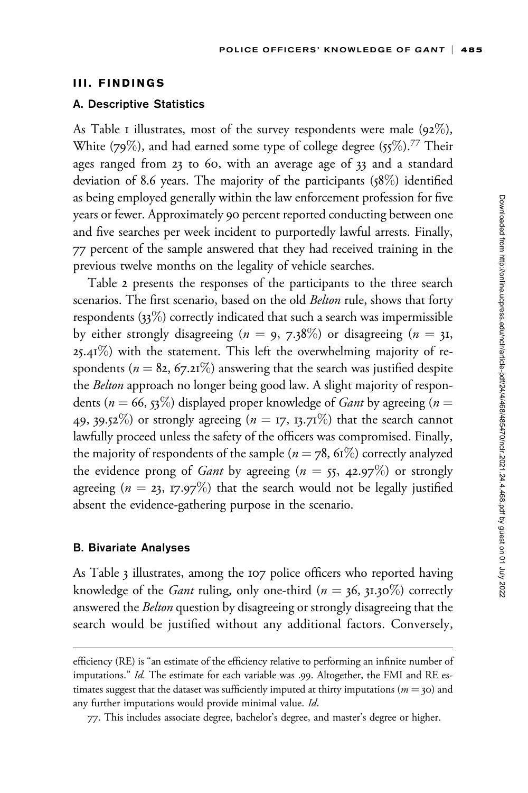### III. FINDINGS

### A. Descriptive Statistics

As Table I illustrates, most of the survey respondents were male  $(92\%)$ , White (79%), and had earned some type of college degree (55%).<sup>77</sup> Their ages ranged from 23 to 60, with an average age of 33 and a standard deviation of 8.6 years. The majority of the participants (58%) identified as being employed generally within the law enforcement profession for five years or fewer. Approximately 90 percent reported conducting between one and five searches per week incident to purportedly lawful arrests. Finally, 77 percent of the sample answered that they had received training in the previous twelve months on the legality of vehicle searches.

Table 2 presents the responses of the participants to the three search scenarios. The first scenario, based on the old *Belton* rule, shows that forty respondents (33%) correctly indicated that such a search was impermissible by either strongly disagreeing ( $n = 9, 7.38\%$ ) or disagreeing ( $n = 31$ ,  $25.41\%$ ) with the statement. This left the overwhelming majority of respondents ( $n = 82, 67.21\%$ ) answering that the search was justified despite the *Belton* approach no longer being good law. A slight majority of respondents ( $n = 66$ , 53%) displayed proper knowledge of *Gant* by agreeing ( $n =$ 49, 39.52%) or strongly agreeing ( $n = 17$ , 13.71%) that the search cannot lawfully proceed unless the safety of the officers was compromised. Finally, the majority of respondents of the sample ( $n = 78$ , 61%) correctly analyzed the evidence prong of *Gant* by agreeing ( $n = 55$ , 42.97%) or strongly agreeing ( $n = 23$ , 17.97%) that the search would not be legally justified absent the evidence-gathering purpose in the scenario.

## B. Bivariate Analyses

As Table 3 illustrates, among the 107 police officers who reported having knowledge of the *Gant* ruling, only one-third ( $n = 36$ ,  $31.30\%$ ) correctly answered the Belton question by disagreeing or strongly disagreeing that the search would be justified without any additional factors. Conversely,

efficiency (RE) is "an estimate of the efficiency relative to performing an infinite number of imputations." Id. The estimate for each variable was .99. Altogether, the FMI and RE estimates suggest that the dataset was sufficiently imputed at thirty imputations ( $m = 30$ ) and any further imputations would provide minimal value. Id.

<sup>77.</sup> This includes associate degree, bachelor's degree, and master's degree or higher.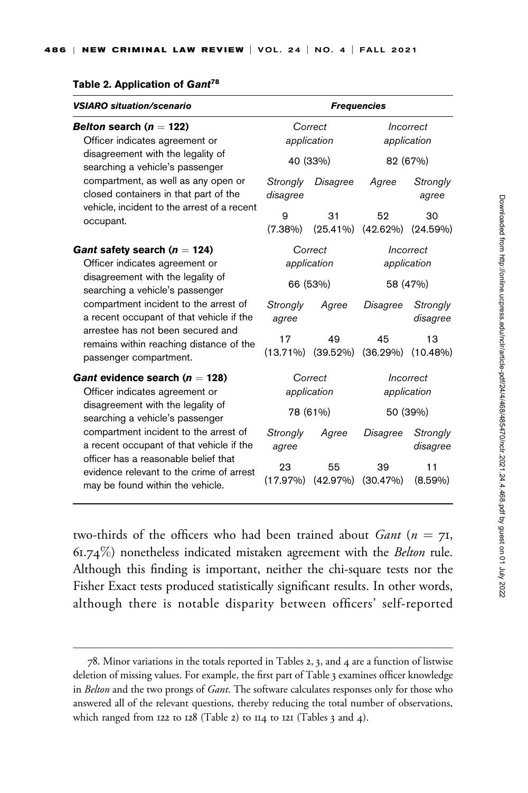| Table 2. Application of Gant <sup>78</sup> |  |
|--------------------------------------------|--|
|--------------------------------------------|--|

| <b>VSIARO situation/scenario</b>                                                                                                                                                                                                                                                  | <b>Frequencies</b>     |                         |                          |                      |  |  |
|-----------------------------------------------------------------------------------------------------------------------------------------------------------------------------------------------------------------------------------------------------------------------------------|------------------------|-------------------------|--------------------------|----------------------|--|--|
| Belton search ( $n = 122$ )                                                                                                                                                                                                                                                       |                        | Correct                 |                          | Incorrect            |  |  |
| Officer indicates agreement or<br>disagreement with the legality of<br>searching a vehicle's passenger                                                                                                                                                                            |                        | application<br>40 (33%) | application<br>82 (67%)  |                      |  |  |
| compartment, as well as any open or<br>closed containers in that part of the                                                                                                                                                                                                      | Strongly<br>disagree   | Disagree                | Agree                    | Strongly<br>agree    |  |  |
| vehicle, incident to the arrest of a recent<br>occupant.                                                                                                                                                                                                                          | 9<br>$(7.38\%)$        | 31<br>$(25.41\%)$       | 52<br>$(42.62\%)$        | 30<br>(24.59%)       |  |  |
| Gant safety search ( $n = 124$ )<br>Officer indicates agreement or                                                                                                                                                                                                                |                        | Correct<br>application  | Incorrect<br>application |                      |  |  |
| disagreement with the legality of<br>searching a vehicle's passenger<br>compartment incident to the arrest of<br>a recent occupant of that vehicle if the<br>arrestee has not been secured and<br>remains within reaching distance of the<br>passenger compartment.               |                        | 66 (53%)                | 58 (47%)                 |                      |  |  |
|                                                                                                                                                                                                                                                                                   | Strongly<br>agree      | Agree                   | Disagree                 | Strongly<br>disagree |  |  |
|                                                                                                                                                                                                                                                                                   | 17<br>$(13.71\%)$      | 49<br>$(39.52\%)$       | 45<br>(36.29%)           | 13<br>$(10.48\%)$    |  |  |
| Gant evidence search ( $n = 128$ )<br>Officer indicates agreement or                                                                                                                                                                                                              | Correct<br>application |                         | Incorrect<br>application |                      |  |  |
| disagreement with the legality of<br>searching a vehicle's passenger<br>compartment incident to the arrest of<br>a recent occupant of that vehicle if the<br>officer has a reasonable belief that<br>evidence relevant to the crime of arrest<br>may be found within the vehicle. |                        | 78 (61%)                |                          | 50 (39%)             |  |  |
|                                                                                                                                                                                                                                                                                   | Strongly<br>agree      | Agree                   | Disagree                 | Strongly<br>disagree |  |  |
|                                                                                                                                                                                                                                                                                   | 23<br>(17.97%)         | 55<br>(42.97%)          | 39<br>(30.47%)           | 11<br>$(8.59\%)$     |  |  |

two-thirds of the officers who had been trained about *Gant* ( $n = 71$ ,  $61.74\%$ ) nonetheless indicated mistaken agreement with the *Belton* rule. Although this finding is important, neither the chi-square tests nor the Fisher Exact tests produced statistically significant results. In other words, although there is notable disparity between officers' self-reported

<sup>78.</sup> Minor variations in the totals reported in Tables 2, 3, and 4 are a function of listwise deletion of missing values. For example, the first part of Table 3 examines officer knowledge in *Belton* and the two prongs of *Gant*. The software calculates responses only for those who answered all of the relevant questions, thereby reducing the total number of observations, which ranged from 122 to 128 (Table 2) to 114 to 121 (Tables 3 and 4).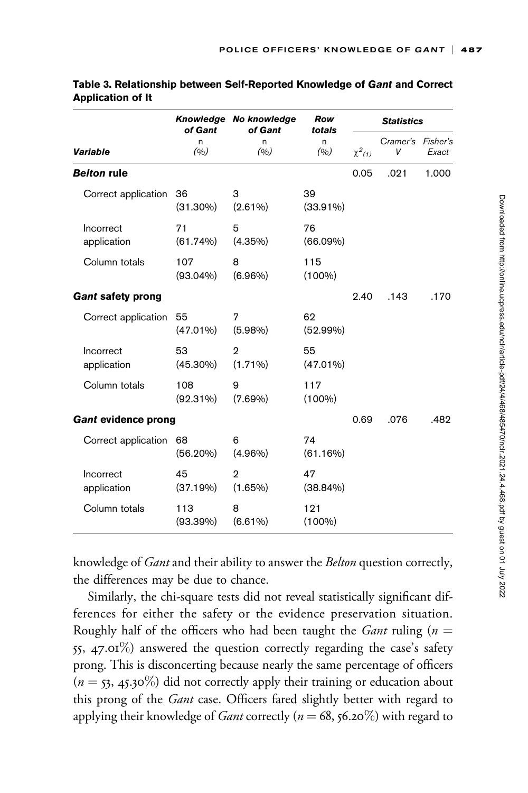|                          | Knowledge No knowledge<br>of Gant<br>of Gant |                              | <b>Row</b><br>totals | <b>Statistics</b> |                        |       |  |
|--------------------------|----------------------------------------------|------------------------------|----------------------|-------------------|------------------------|-------|--|
| <b>Variable</b>          | n<br>(0/0)                                   | n.<br>(0/0)                  | n.<br>(0/0)          | $\chi^2_{(1)}$    | Cramer's Fisher's<br>V | Exact |  |
| <b>Belton rule</b>       |                                              |                              |                      | 0.05              | .021                   | 1.000 |  |
| Correct application      | 36<br>$(31.30\%)$                            | 3<br>$(2.61\%)$              | 39<br>$(33.91\%)$    |                   |                        |       |  |
| Incorrect<br>application | 71<br>(61.74%)                               | 5<br>$(4.35\%)$              | 76<br>$(66.09\%)$    |                   |                        |       |  |
| Column totals            | 107<br>$(93.04\%)$                           | 8<br>$(6.96\%)$              | 115<br>$(100\%)$     |                   |                        |       |  |
| <b>Gant safety prong</b> |                                              |                              |                      | 2.40              | .143                   | .170  |  |
| Correct application      | 55<br>$(47.01\%)$                            | 7<br>$(5.98\%)$              | 62<br>$(52.99\%)$    |                   |                        |       |  |
| Incorrect<br>application | 53<br>$(45.30\%)$                            | $\overline{2}$<br>$(1.71\%)$ | 55<br>$(47.01\%)$    |                   |                        |       |  |
| Column totals            | 108<br>$(92.31\%)$                           | 9<br>$(7.69\%)$              | 117<br>$(100\%)$     |                   |                        |       |  |
| Gant evidence prong      |                                              |                              |                      | 0.69              | .076                   | .482  |  |
| Correct application      | 68<br>$(56.20\%)$                            | 6<br>$(4.96\%)$              | 74<br>(61.16%)       |                   |                        |       |  |
| Incorrect<br>application | 45<br>(37.19%)                               | $\mathbf{2}$<br>$(1.65\%)$   | 47<br>$(38.84\%)$    |                   |                        |       |  |
| Column totals            | 113<br>$(93.39\%)$                           | 8<br>$(6.61\%)$              | 121<br>$(100\%)$     |                   |                        |       |  |

| Table 3. Relationship between Self-Reported Knowledge of Gant and Correct |  |  |
|---------------------------------------------------------------------------|--|--|
| <b>Application of It</b>                                                  |  |  |

knowledge of Gant and their ability to answer the Belton question correctly, the differences may be due to chance.

Similarly, the chi-square tests did not reveal statistically significant differences for either the safety or the evidence preservation situation. Roughly half of the officers who had been taught the *Gant* ruling ( $n =$ 55, 47.01%) answered the question correctly regarding the case's safety prong. This is disconcerting because nearly the same percentage of officers  $(n = 53, 45.30\%)$  did not correctly apply their training or education about this prong of the *Gant* case. Officers fared slightly better with regard to applying their knowledge of *Gant* correctly ( $n = 68$ , 56.20%) with regard to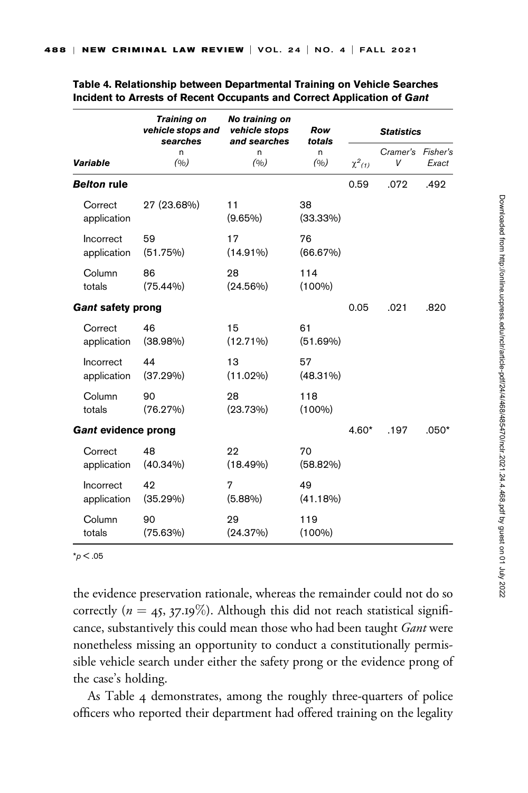|                          | <b>Training on</b><br>vehicle stops and<br>searches | No training on<br>vehicle stops<br>and searches | Row<br>totals     |             | <b>Statistics</b>      |         |
|--------------------------|-----------------------------------------------------|-------------------------------------------------|-------------------|-------------|------------------------|---------|
| <b>Variable</b>          | n<br>(0/0)                                          | n<br>(0/0)                                      | n.<br>(0/0)       | $\chi^2(1)$ | Cramer's Fisher's<br>V | Exact   |
| <b>Belton rule</b>       |                                                     |                                                 |                   | 0.59        | .072                   | .492    |
| Correct<br>application   | 27 (23.68%)                                         | 11<br>$(9.65\%)$                                | 38<br>$(33.33\%)$ |             |                        |         |
| Incorrect<br>application | 59<br>(51.75%)                                      | 17<br>$(14.91\%)$                               | 76<br>(66.67%)    |             |                        |         |
| Column<br>totals         | 86<br>$(75.44\%)$                                   | 28<br>$(24.56\%)$                               | 114<br>$(100\%)$  |             |                        |         |
| <b>Gant safety prong</b> |                                                     |                                                 |                   | 0.05        | .021                   | .820    |
| Correct<br>application   | 46<br>$(38.98\%)$                                   | 15<br>$(12.71\%)$                               | 61<br>(51.69%)    |             |                        |         |
| Incorrect<br>application | 44<br>(37.29%)                                      | 13<br>$(11.02\%)$                               | 57<br>$(48.31\%)$ |             |                        |         |
| Column<br>totals         | 90<br>(76.27%)                                      | 28<br>(23.73%)                                  | 118<br>$(100\%)$  |             |                        |         |
| Gant evidence prong      |                                                     |                                                 |                   | $4.60*$     | .197                   | $.050*$ |
| Correct<br>application   | 48<br>$(40.34\%)$                                   | 22<br>$(18.49\%)$                               | 70<br>$(58.82\%)$ |             |                        |         |
| Incorrect<br>application | 42<br>(35.29%)                                      | 7<br>$(5.88\%)$                                 | 49<br>(41.18%)    |             |                        |         |
| Column<br>totals         | 90<br>(75.63%)                                      | 29<br>(24.37%)                                  | 119<br>$(100\%)$  |             |                        |         |

Table 4. Relationship between Departmental Training on Vehicle Searches Incident to Arrests of Recent Occupants and Correct Application of Gant

 $*_{p}$  < .05

the evidence preservation rationale, whereas the remainder could not do so correctly ( $n = 45$ , 37.19%). Although this did not reach statistical significance, substantively this could mean those who had been taught Gant were nonetheless missing an opportunity to conduct a constitutionally permissible vehicle search under either the safety prong or the evidence prong of the case's holding.

As Table 4 demonstrates, among the roughly three-quarters of police officers who reported their department had offered training on the legality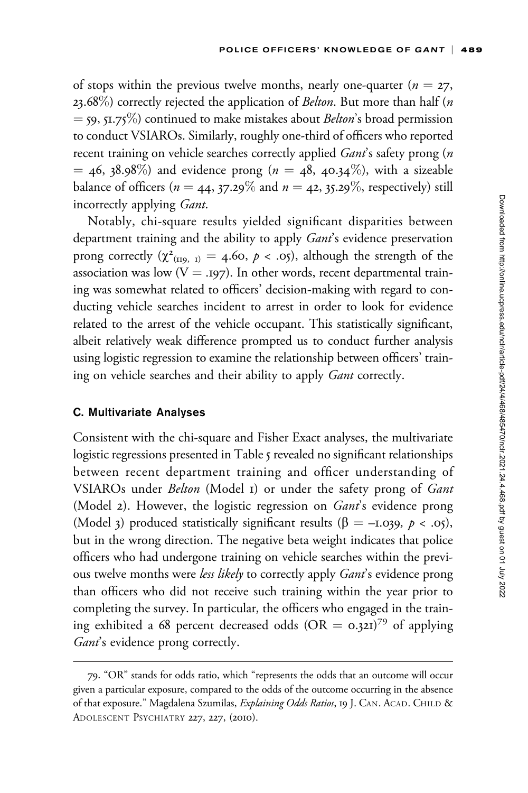of stops within the previous twelve months, nearly one-quarter ( $n = 27$ , 23.68%) correctly rejected the application of *Belton*. But more than half  $(n$  $=$  59, 51.75%) continued to make mistakes about *Belton*'s broad permission to conduct VSIAROs. Similarly, roughly one-third of officers who reported recent training on vehicle searches correctly applied *Gant's* safety prong (n  $=$  46, 38.98%) and evidence prong ( $n = 48$ , 40.34%), with a sizeable balance of officers ( $n = 44$ , 37.29% and  $n = 42$ , 35.29%, respectively) still incorrectly applying Gant.

Notably, chi-square results yielded significant disparities between department training and the ability to apply *Gant's* evidence preservation prong correctly  $(\chi^2_{(II9, I)} = 4.60, p < .05)$ , although the strength of the association was low  $(V = .197)$ . In other words, recent departmental training was somewhat related to officers' decision-making with regard to conducting vehicle searches incident to arrest in order to look for evidence related to the arrest of the vehicle occupant. This statistically significant, albeit relatively weak difference prompted us to conduct further analysis using logistic regression to examine the relationship between officers' training on vehicle searches and their ability to apply Gant correctly.

#### C. Multivariate Analyses

Consistent with the chi-square and Fisher Exact analyses, the multivariate logistic regressions presented in Table 5 revealed no significant relationships between recent department training and officer understanding of VSIAROs under Belton (Model 1) or under the safety prong of Gant (Model 2). However, the logistic regression on Gant's evidence prong (Model 3) produced statistically significant results ( $\beta = -1.039, p < .05$ ), but in the wrong direction. The negative beta weight indicates that police officers who had undergone training on vehicle searches within the previous twelve months were less likely to correctly apply Gant's evidence prong than officers who did not receive such training within the year prior to completing the survey. In particular, the officers who engaged in the training exhibited a 68 percent decreased odds (OR = 0.321)<sup>79</sup> of applying Gant's evidence prong correctly.

<sup>79.</sup> "OR" stands for odds ratio, which "represents the odds that an outcome will occur given a particular exposure, compared to the odds of the outcome occurring in the absence of that exposure." Magdalena Szumilas, Explaining Odds Ratios, 19 J. CAN. ACAD. CHILD & ADOLESCENT PSYCHIATRY 227, 227, (2010).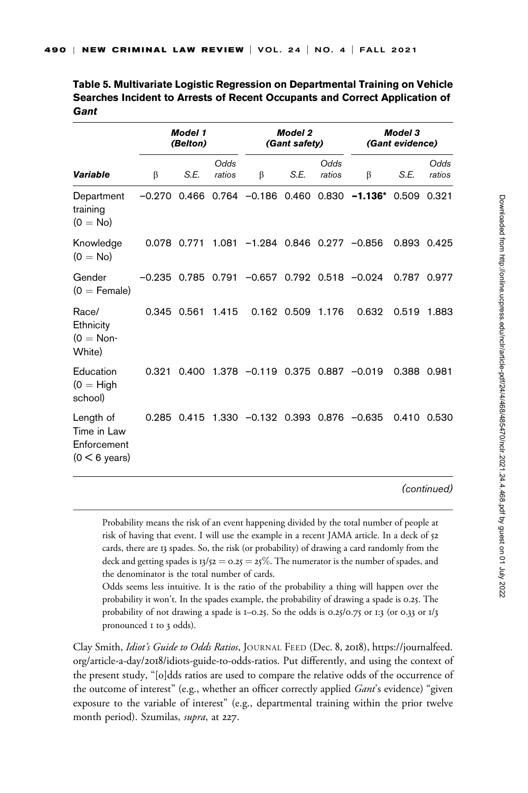|                                                            |             | <b>Model 1</b><br>(Belton) |                |                                                     | <b>Model 2</b><br>(Gant safety) |                | <b>Model 3</b><br>(Gant evidence) |             |                |
|------------------------------------------------------------|-------------|----------------------------|----------------|-----------------------------------------------------|---------------------------------|----------------|-----------------------------------|-------------|----------------|
| <b>Variable</b>                                            | β           | S.E.                       | Odds<br>ratios | β                                                   | S.E.                            | Odds<br>ratios | β                                 | S.E.        | Odds<br>ratios |
| Department<br>training<br>$(0 = No)$                       |             |                            |                | $-0.270$ 0.466 0.764 $-0.186$ 0.460                 |                                 |                | $0.830 -1.136$ * 0.509 0.321      |             |                |
| Knowledge<br>$(0 = No)$                                    |             |                            |                | $0.078$ 0.771 1.081 -1.284 0.846 0.277 -0.856       |                                 |                |                                   | 0.893 0.425 |                |
| Gender<br>$(0 =$ Female)                                   |             |                            |                | $-0.235$ 0.785 0.791 $-0.657$ 0.792 0.518 $-0.024$  |                                 |                |                                   | 0.787 0.977 |                |
| Race/<br>Ethnicity<br>$(0 = \text{Non}$<br>White)          | 0.345 0.561 |                            | 1.415          |                                                     | 0.162 0.509                     | 1.176          | 0.632                             | 0.519       | 1.883          |
| Education<br>$(0 = High)$<br>school)                       | 0.321       |                            |                | $0.400$ 1.378 $-0.119$ 0.375                        |                                 | 0.887          | $-0.019$                          | 0.388 0.981 |                |
| Length of<br>Time in Law<br>Enforcement<br>$(0 < 6$ years) |             |                            |                | $0.285$ $0.415$ 1.330 $-0.132$ 0.393 0.876 $-0.635$ |                                 |                |                                   | 0.410 0.530 |                |

Table 5. Multivariate Logistic Regression on Departmental Training on Vehicle Searches Incident to Arrests of Recent Occupants and Correct Application of **Gant** 

(continued)

Probability means the risk of an event happening divided by the total number of people at risk of having that event. I will use the example in a recent JAMA article. In a deck of 52 cards, there are 13 spades. So, the risk (or probability) of drawing a card randomly from the deck and getting spades is  $13/52 = 0.25 = 25\%$ . The numerator is the number of spades, and the denominator is the total number of cards.

Odds seems less intuitive. It is the ratio of the probability a thing will happen over the probability it won't. In the spades example, the probability of drawing a spade is 0.25. The probability of not drawing a spade is  $I=0.25$ . So the odds is 0.25/0.75 or 1:3 (or 0.33 or  $I/3$ ) pronounced 1 to 3 odds).

Clay Smith, Idiot's Guide to Odds Ratios, JOURNAL FEED (Dec. 8, 2018), [https://journalfeed.](https://journalfeed.org/article-a-day/2018/idiots-guide-to-odds-ratios) org/article-a-day/2018[/idiots-guide-to-odds-ratios.](https://journalfeed.org/article-a-day/2018/idiots-guide-to-odds-ratios) Put differently, and using the context of the present study, "[o]dds ratios are used to compare the relative odds of the occurrence of the outcome of interest" (e.g., whether an officer correctly applied Gant's evidence) "given exposure to the variable of interest" (e.g., departmental training within the prior twelve month period). Szumilas, supra, at 227.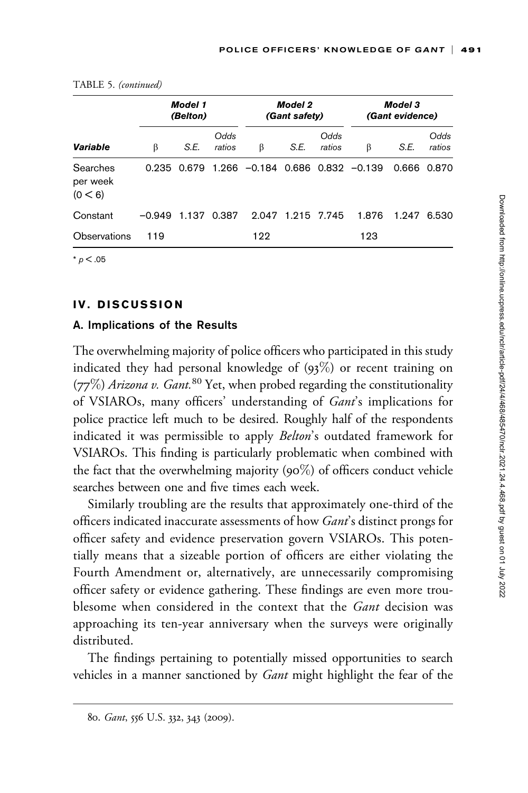|                                 |          | <b>Model 1</b><br>(Belton) |                |                                             | <b>Model 2</b><br>(Gant safety) |                |       | <b>Model 3</b><br><i>(Gant evidence)</i> |                |  |
|---------------------------------|----------|----------------------------|----------------|---------------------------------------------|---------------------------------|----------------|-------|------------------------------------------|----------------|--|
| Variable                        | β        | S.E.                       | Odds<br>ratios | β                                           | S.E.                            | Odds<br>ratios | β     | S.E.                                     | Odds<br>ratios |  |
| Searches<br>per week<br>(0 < 6) | 0.235    |                            |                | $0.679$ 1.266 $-0.184$ 0.686 0.832 $-0.139$ |                                 |                |       | 0.666                                    | 0.870          |  |
| Constant                        | $-0.949$ | 1.137                      | 0.387          | 2.047                                       | 1.215 7.745                     |                | 1.876 | 1.947                                    | 6.530          |  |
| Observations                    | 119      |                            |                | 122                                         |                                 |                | 123   |                                          |                |  |
| $*$ $p < .05$                   |          |                            |                |                                             |                                 |                |       |                                          |                |  |

|  |  | TABLE 5. (continued) |
|--|--|----------------------|
|--|--|----------------------|

IV. DISCUSSION

## A. Implications of the Results

The overwhelming majority of police officers who participated in this study indicated they had personal knowledge of  $(93\%)$  or recent training on (77%) Arizona v. Gant.<sup>80</sup> Yet, when probed regarding the constitutionality of VSIAROs, many officers' understanding of Gant's implications for police practice left much to be desired. Roughly half of the respondents indicated it was permissible to apply Belton's outdated framework for VSIAROs. This finding is particularly problematic when combined with the fact that the overwhelming majority  $(90\%)$  of officers conduct vehicle searches between one and five times each week.

Similarly troubling are the results that approximately one-third of the officers indicated inaccurate assessments of how *Gant*'s distinct prongs for officer safety and evidence preservation govern VSIAROs. This potentially means that a sizeable portion of officers are either violating the Fourth Amendment or, alternatively, are unnecessarily compromising officer safety or evidence gathering. These findings are even more troublesome when considered in the context that the *Gant* decision was approaching its ten-year anniversary when the surveys were originally distributed.

The findings pertaining to potentially missed opportunities to search vehicles in a manner sanctioned by *Gant* might highlight the fear of the

<sup>80.</sup> Gant, 556 U.S. 332, 343 (2009).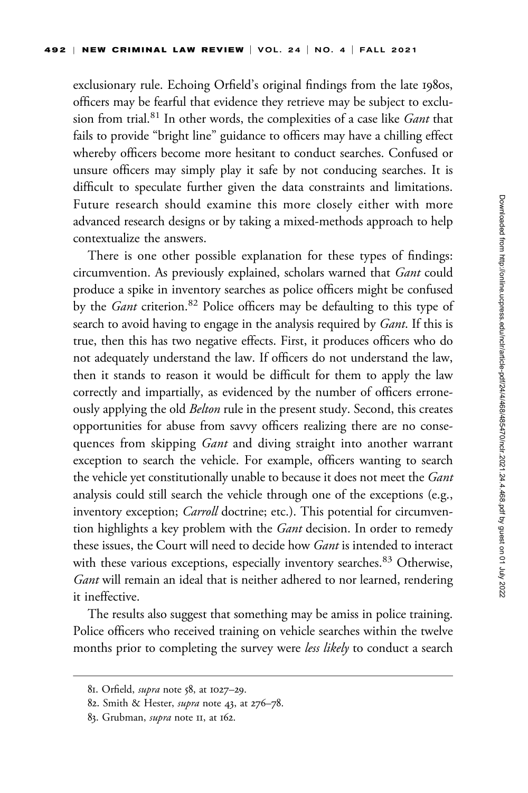exclusionary rule. Echoing Orfield's original findings from the late 1980s, officers may be fearful that evidence they retrieve may be subject to exclusion from trial.<sup>81</sup> In other words, the complexities of a case like *Gant* that fails to provide "bright line" guidance to officers may have a chilling effect whereby officers become more hesitant to conduct searches. Confused or unsure officers may simply play it safe by not conducing searches. It is difficult to speculate further given the data constraints and limitations. Future research should examine this more closely either with more advanced research designs or by taking a mixed-methods approach to help contextualize the answers.

There is one other possible explanation for these types of findings: circumvention. As previously explained, scholars warned that Gant could produce a spike in inventory searches as police officers might be confused by the *Gant* criterion.<sup>82</sup> Police officers may be defaulting to this type of search to avoid having to engage in the analysis required by Gant. If this is true, then this has two negative effects. First, it produces officers who do not adequately understand the law. If officers do not understand the law, then it stands to reason it would be difficult for them to apply the law correctly and impartially, as evidenced by the number of officers erroneously applying the old *Belton* rule in the present study. Second, this creates opportunities for abuse from savvy officers realizing there are no consequences from skipping *Gant* and diving straight into another warrant exception to search the vehicle. For example, officers wanting to search the vehicle yet constitutionally unable to because it does not meet the Gant analysis could still search the vehicle through one of the exceptions (e.g., inventory exception; *Carroll* doctrine; etc.). This potential for circumvention highlights a key problem with the *Gant* decision. In order to remedy these issues, the Court will need to decide how Gant is intended to interact with these various exceptions, especially inventory searches.<sup>83</sup> Otherwise, Gant will remain an ideal that is neither adhered to nor learned, rendering it ineffective.

The results also suggest that something may be amiss in police training. Police officers who received training on vehicle searches within the twelve months prior to completing the survey were *less likely* to conduct a search

<sup>81.</sup> Orfield, supra note 58, at 1027–29.

<sup>82.</sup> Smith & Hester, supra note 43, at 276–78.

<sup>83.</sup> Grubman, supra note 11, at 162.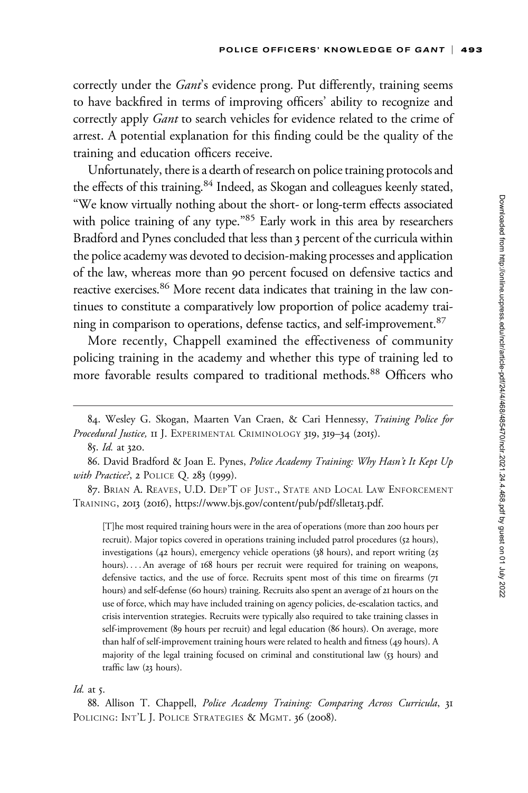correctly under the Gant's evidence prong. Put differently, training seems to have backfired in terms of improving officers' ability to recognize and correctly apply *Gant* to search vehicles for evidence related to the crime of arrest. A potential explanation for this finding could be the quality of the training and education officers receive.

Unfortunately, there is a dearth of research on police training protocols and the effects of this training.<sup>84</sup> Indeed, as Skogan and colleagues keenly stated, "We know virtually nothing about the short- or long-term effects associated with police training of any type."85 Early work in this area by researchers Bradford and Pynes concluded that less than 3 percent of the curricula within the police academy was devoted to decision-making processes and application of the law, whereas more than 90 percent focused on defensive tactics and reactive exercises.<sup>86</sup> More recent data indicates that training in the law continues to constitute a comparatively low proportion of police academy training in comparison to operations, defense tactics, and self-improvement.<sup>87</sup>

More recently, Chappell examined the effectiveness of community policing training in the academy and whether this type of training led to more favorable results compared to traditional methods.<sup>88</sup> Officers who

[T]he most required training hours were in the area of operations (more than 200 hours per recruit). Major topics covered in operations training included patrol procedures (52 hours), investigations (42 hours), emergency vehicle operations (38 hours), and report writing (25 hours). ... An average of 168 hours per recruit were required for training on weapons, defensive tactics, and the use of force. Recruits spent most of this time on firearms (71 hours) and self-defense (60 hours) training. Recruits also spent an average of 21 hours on the use of force, which may have included training on agency policies, de-escalation tactics, and crisis intervention strategies. Recruits were typically also required to take training classes in self-improvement (89 hours per recruit) and legal education (86 hours). On average, more than half of self-improvement training hours were related to health and fitness (49 hours). A majority of the legal training focused on criminal and constitutional law (53 hours) and traffic law (23 hours).

#### Id. at  $5$ .

88. Allison T. Chappell, Police Academy Training: Comparing Across Curricula, 31 POLICING: INT'L J. POLICE STRATEGIES & MGMT. 36 (2008).

<sup>84.</sup> Wesley G. Skogan, Maarten Van Craen, & Cari Hennessy, Training Police for Procedural Justice, II J. EXPERIMENTAL CRIMINOLOGY 319, 319-34 (2015).

<sup>85.</sup> Id. at 320.

<sup>86.</sup> David Bradford & Joan E. Pynes, Police Academy Training: Why Hasn't It Kept Up with Practice?, 2 POLICE Q. 283 (1999).

<sup>87.</sup> BRIAN A. REAVES, U.D. DEP'T OF JUST., STATE AND LOCAL LAW ENFORCEMENT TRAINING, 2013 (2016), [https://www.bjs.gov/content/pub/pdf/slleta](https://www.bjs.gov/content/pub/pdf/slleta13.pdf)13.pdf.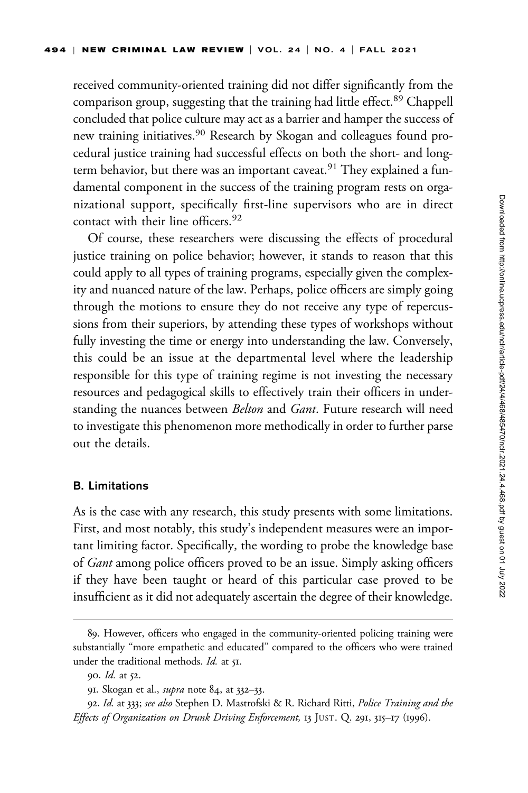received community-oriented training did not differ significantly from the comparison group, suggesting that the training had little effect.<sup>89</sup> Chappell concluded that police culture may act as a barrier and hamper the success of new training initiatives.<sup>90</sup> Research by Skogan and colleagues found procedural justice training had successful effects on both the short- and longterm behavior, but there was an important caveat.<sup>91</sup> They explained a fundamental component in the success of the training program rests on organizational support, specifically first-line supervisors who are in direct contact with their line officers.<sup>92</sup>

Of course, these researchers were discussing the effects of procedural justice training on police behavior; however, it stands to reason that this could apply to all types of training programs, especially given the complexity and nuanced nature of the law. Perhaps, police officers are simply going through the motions to ensure they do not receive any type of repercussions from their superiors, by attending these types of workshops without fully investing the time or energy into understanding the law. Conversely, this could be an issue at the departmental level where the leadership responsible for this type of training regime is not investing the necessary resources and pedagogical skills to effectively train their officers in understanding the nuances between Belton and Gant. Future research will need to investigate this phenomenon more methodically in order to further parse out the details.

### B. Limitations

As is the case with any research, this study presents with some limitations. First, and most notably, this study's independent measures were an important limiting factor. Specifically, the wording to probe the knowledge base of *Gant* among police officers proved to be an issue. Simply asking officers if they have been taught or heard of this particular case proved to be insufficient as it did not adequately ascertain the degree of their knowledge.

<sup>89.</sup> However, officers who engaged in the community-oriented policing training were substantially "more empathetic and educated" compared to the officers who were trained under the traditional methods. *Id.* at 51.

<sup>90.</sup> Id. at 52.

<sup>91.</sup> Skogan et al., *supra* note 84, at 332–33.

<sup>92.</sup> Id. at 333; see also Stephen D. Mastrofski & R. Richard Ritti, Police Training and the Effects of Organization on Drunk Driving Enforcement, 13 JUST. Q. 291, 315–17 (1996).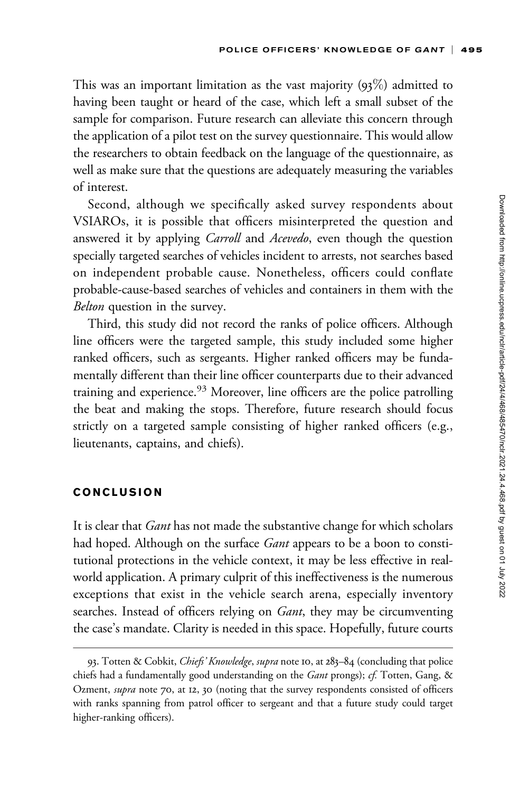This was an important limitation as the vast majority  $(93\%)$  admitted to having been taught or heard of the case, which left a small subset of the sample for comparison. Future research can alleviate this concern through the application of a pilot test on the survey questionnaire. This would allow the researchers to obtain feedback on the language of the questionnaire, as well as make sure that the questions are adequately measuring the variables of interest.

Second, although we specifically asked survey respondents about VSIAROs, it is possible that officers misinterpreted the question and answered it by applying *Carroll* and *Acevedo*, even though the question specially targeted searches of vehicles incident to arrests, not searches based on independent probable cause. Nonetheless, officers could conflate probable-cause-based searches of vehicles and containers in them with the Belton question in the survey.

Third, this study did not record the ranks of police officers. Although line officers were the targeted sample, this study included some higher ranked officers, such as sergeants. Higher ranked officers may be fundamentally different than their line officer counterparts due to their advanced training and experience.<sup>93</sup> Moreover, line officers are the police patrolling the beat and making the stops. Therefore, future research should focus strictly on a targeted sample consisting of higher ranked officers (e.g., lieutenants, captains, and chiefs).

#### CONCLUSION

It is clear that *Gant* has not made the substantive change for which scholars had hoped. Although on the surface *Gant* appears to be a boon to constitutional protections in the vehicle context, it may be less effective in realworld application. A primary culprit of this ineffectiveness is the numerous exceptions that exist in the vehicle search arena, especially inventory searches. Instead of officers relying on *Gant*, they may be circumventing the case's mandate. Clarity is needed in this space. Hopefully, future courts

<sup>93.</sup> Totten & Cobkit, Chiefs' Knowledge, supra note 10, at 283-84 (concluding that police chiefs had a fundamentally good understanding on the Gant prongs); cf. Totten, Gang, & Ozment, supra note 70, at 12, 30 (noting that the survey respondents consisted of officers with ranks spanning from patrol officer to sergeant and that a future study could target higher-ranking officers).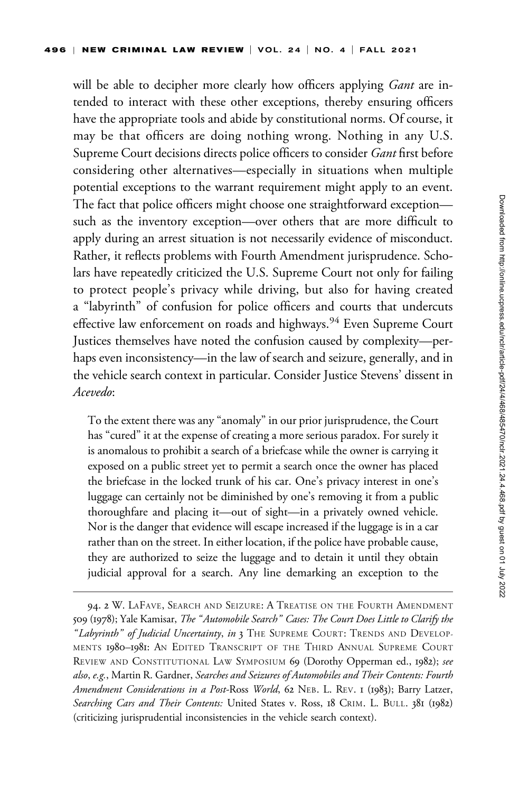will be able to decipher more clearly how officers applying *Gant* are intended to interact with these other exceptions, thereby ensuring officers have the appropriate tools and abide by constitutional norms. Of course, it may be that officers are doing nothing wrong. Nothing in any U.S. Supreme Court decisions directs police officers to consider Gant first before considering other alternatives—especially in situations when multiple potential exceptions to the warrant requirement might apply to an event. The fact that police officers might choose one straightforward exception such as the inventory exception—over others that are more difficult to apply during an arrest situation is not necessarily evidence of misconduct. Rather, it reflects problems with Fourth Amendment jurisprudence. Scholars have repeatedly criticized the U.S. Supreme Court not only for failing to protect people's privacy while driving, but also for having created a "labyrinth" of confusion for police officers and courts that undercuts effective law enforcement on roads and highways.<sup>94</sup> Even Supreme Court Justices themselves have noted the confusion caused by complexity—perhaps even inconsistency—in the law of search and seizure, generally, and in the vehicle search context in particular. Consider Justice Stevens' dissent in Acevedo:

To the extent there was any "anomaly" in our prior jurisprudence, the Court has "cured" it at the expense of creating a more serious paradox. For surely it is anomalous to prohibit a search of a briefcase while the owner is carrying it exposed on a public street yet to permit a search once the owner has placed the briefcase in the locked trunk of his car. One's privacy interest in one's luggage can certainly not be diminished by one's removing it from a public thoroughfare and placing it—out of sight—in a privately owned vehicle. Nor is the danger that evidence will escape increased if the luggage is in a car rather than on the street. In either location, if the police have probable cause, they are authorized to seize the luggage and to detain it until they obtain judicial approval for a search. Any line demarking an exception to the

<sup>94. 2</sup> W. LAFAVE, SEARCH AND SEIZURE: A TREATISE ON THE FOURTH AMENDMENT 509 (1978); Yale Kamisar, The "Automobile Search" Cases: The Court Does Little to Clarify the "Labyrinth" of Judicial Uncertainty, in 3 THE SUPREME COURT: TRENDS AND DEVELOP-MENTS 1980–1981: AN EDITED TRANSCRIPT OF THE THIRD ANNUAL SUPREME COURT REVIEW AND CONSTITUTIONAL LAW SYMPOSIUM 69 (Dorothy Opperman ed., 1982); see also, e.g., Martin R. Gardner, Searches and Seizures of Automobiles and Their Contents: Fourth Amendment Considerations in a Post-Ross World, 62 NEB. L. REV. 1 (1983); Barry Latzer, Searching Cars and Their Contents: United States v. Ross, 18 CRIM. L. BULL. 381 (1982) (criticizing jurisprudential inconsistencies in the vehicle search context).